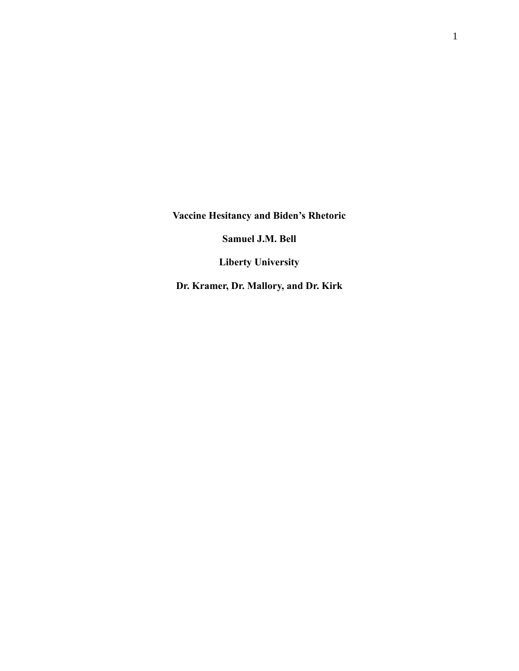**Vaccine Hesitancy and Biden's Rhetoric** 

**Samuel J.M. Bell**

**Liberty University**

**Dr. Kramer, Dr. Mallory, and Dr. Kirk**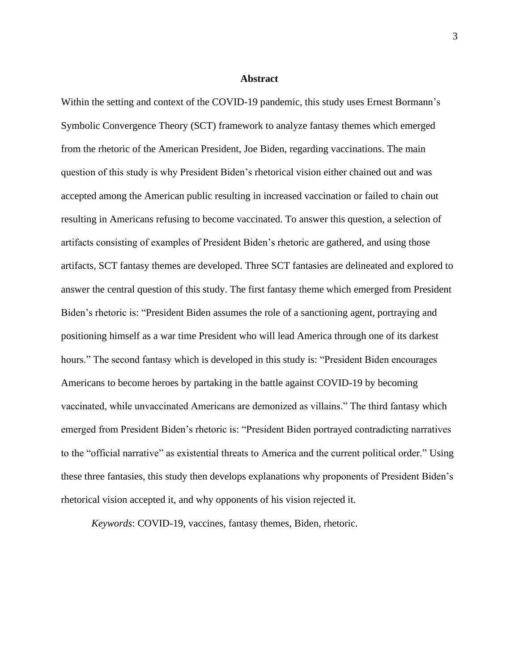## **Abstract**

Within the setting and context of the COVID-19 pandemic, this study uses Ernest Bormann's Symbolic Convergence Theory (SCT) framework to analyze fantasy themes which emerged from the rhetoric of the American President, Joe Biden, regarding vaccinations. The main question of this study is why President Biden's rhetorical vision either chained out and was accepted among the American public resulting in increased vaccination or failed to chain out resulting in Americans refusing to become vaccinated. To answer this question, a selection of artifacts consisting of examples of President Biden's rhetoric are gathered, and using those artifacts, SCT fantasy themes are developed. Three SCT fantasies are delineated and explored to answer the central question of this study. The first fantasy theme which emerged from President Biden's rhetoric is: "President Biden assumes the role of a sanctioning agent, portraying and positioning himself as a war time President who will lead America through one of its darkest hours." The second fantasy which is developed in this study is: "President Biden encourages Americans to become heroes by partaking in the battle against COVID-19 by becoming vaccinated, while unvaccinated Americans are demonized as villains." The third fantasy which emerged from President Biden's rhetoric is: "President Biden portrayed contradicting narratives to the "official narrative" as existential threats to America and the current political order." Using these three fantasies, this study then develops explanations why proponents of President Biden's rhetorical vision accepted it, and why opponents of his vision rejected it.

*Keywords*: COVID-19, vaccines, fantasy themes, Biden, rhetoric.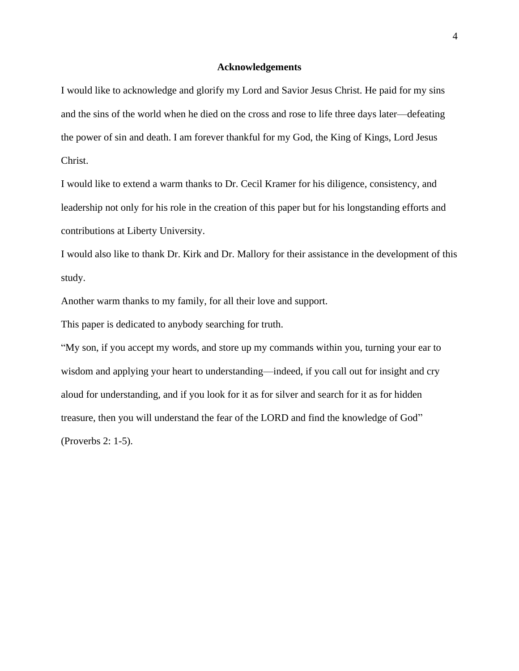# **Acknowledgements**

I would like to acknowledge and glorify my Lord and Savior Jesus Christ. He paid for my sins and the sins of the world when he died on the cross and rose to life three days later—defeating the power of sin and death. I am forever thankful for my God, the King of Kings, Lord Jesus Christ.

I would like to extend a warm thanks to Dr. Cecil Kramer for his diligence, consistency, and leadership not only for his role in the creation of this paper but for his longstanding efforts and contributions at Liberty University.

I would also like to thank Dr. Kirk and Dr. Mallory for their assistance in the development of this study.

Another warm thanks to my family, for all their love and support.

This paper is dedicated to anybody searching for truth.

"My son, if you accept my words, and store up my commands within you, turning your ear to wisdom and applying your heart to understanding—indeed, if you call out for insight and cry aloud for understanding, and if you look for it as for silver and search for it as for hidden treasure, then you will understand the fear of the LORD and find the knowledge of God" (Proverbs 2: 1-5).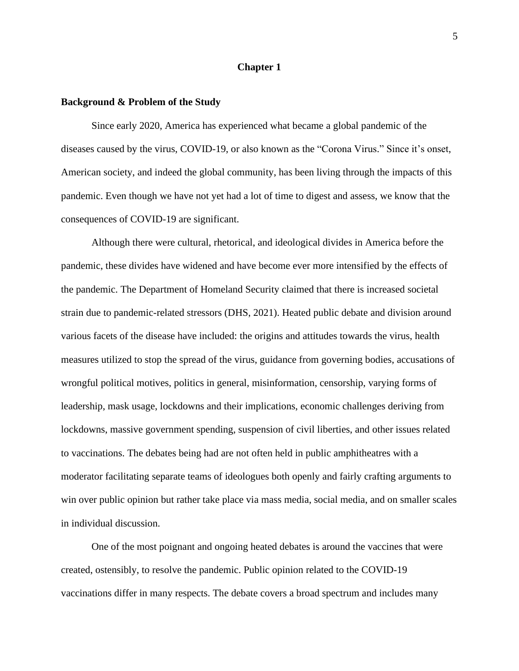# **Chapter 1**

# **Background & Problem of the Study**

Since early 2020, America has experienced what became a global pandemic of the diseases caused by the virus, COVID-19, or also known as the "Corona Virus." Since it's onset, American society, and indeed the global community, has been living through the impacts of this pandemic. Even though we have not yet had a lot of time to digest and assess, we know that the consequences of COVID-19 are significant.

Although there were cultural, rhetorical, and ideological divides in America before the pandemic, these divides have widened and have become ever more intensified by the effects of the pandemic. The Department of Homeland Security claimed that there is increased societal strain due to pandemic-related stressors (DHS, 2021). Heated public debate and division around various facets of the disease have included: the origins and attitudes towards the virus, health measures utilized to stop the spread of the virus, guidance from governing bodies, accusations of wrongful political motives, politics in general, misinformation, censorship, varying forms of leadership, mask usage, lockdowns and their implications, economic challenges deriving from lockdowns, massive government spending, suspension of civil liberties, and other issues related to vaccinations. The debates being had are not often held in public amphitheatres with a moderator facilitating separate teams of ideologues both openly and fairly crafting arguments to win over public opinion but rather take place via mass media, social media, and on smaller scales in individual discussion.

One of the most poignant and ongoing heated debates is around the vaccines that were created, ostensibly, to resolve the pandemic. Public opinion related to the COVID-19 vaccinations differ in many respects. The debate covers a broad spectrum and includes many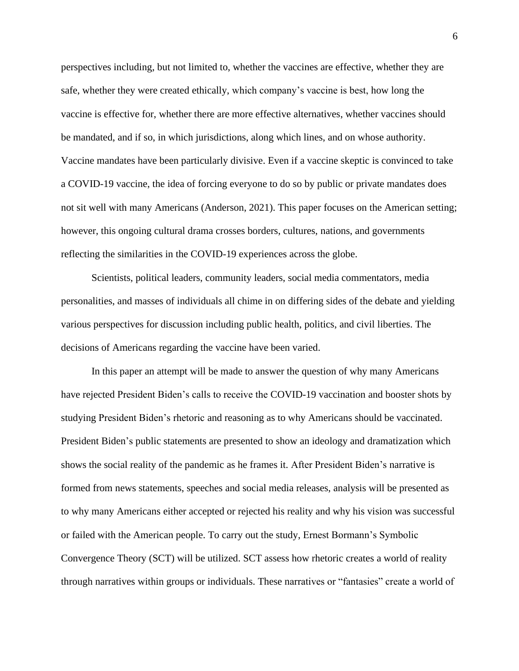perspectives including, but not limited to, whether the vaccines are effective, whether they are safe, whether they were created ethically, which company's vaccine is best, how long the vaccine is effective for, whether there are more effective alternatives, whether vaccines should be mandated, and if so, in which jurisdictions, along which lines, and on whose authority. Vaccine mandates have been particularly divisive. Even if a vaccine skeptic is convinced to take a COVID-19 vaccine, the idea of forcing everyone to do so by public or private mandates does not sit well with many Americans (Anderson, 2021). This paper focuses on the American setting; however, this ongoing cultural drama crosses borders, cultures, nations, and governments reflecting the similarities in the COVID-19 experiences across the globe.

Scientists, political leaders, community leaders, social media commentators, media personalities, and masses of individuals all chime in on differing sides of the debate and yielding various perspectives for discussion including public health, politics, and civil liberties. The decisions of Americans regarding the vaccine have been varied.

In this paper an attempt will be made to answer the question of why many Americans have rejected President Biden's calls to receive the COVID-19 vaccination and booster shots by studying President Biden's rhetoric and reasoning as to why Americans should be vaccinated. President Biden's public statements are presented to show an ideology and dramatization which shows the social reality of the pandemic as he frames it. After President Biden's narrative is formed from news statements, speeches and social media releases, analysis will be presented as to why many Americans either accepted or rejected his reality and why his vision was successful or failed with the American people. To carry out the study, Ernest Bormann's Symbolic Convergence Theory (SCT) will be utilized. SCT assess how rhetoric creates a world of reality through narratives within groups or individuals. These narratives or "fantasies" create a world of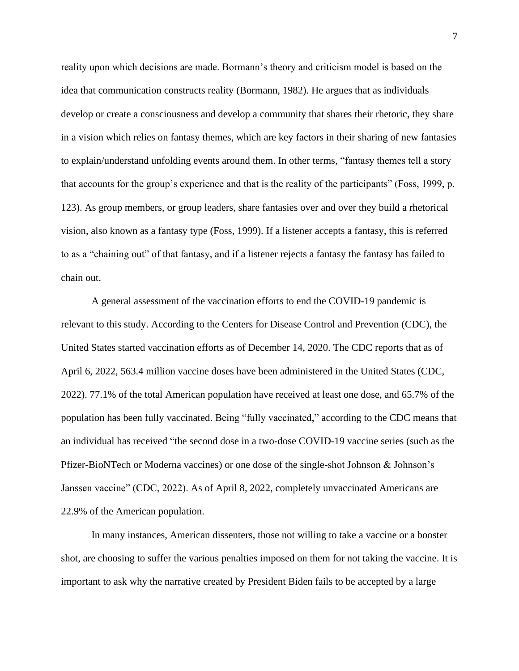reality upon which decisions are made. Bormann's theory and criticism model is based on the idea that communication constructs reality (Bormann, 1982). He argues that as individuals develop or create a consciousness and develop a community that shares their rhetoric, they share in a vision which relies on fantasy themes, which are key factors in their sharing of new fantasies to explain/understand unfolding events around them. In other terms, "fantasy themes tell a story that accounts for the group's experience and that is the reality of the participants" (Foss, 1999, p. 123). As group members, or group leaders, share fantasies over and over they build a rhetorical vision, also known as a fantasy type (Foss, 1999). If a listener accepts a fantasy, this is referred to as a "chaining out" of that fantasy, and if a listener rejects a fantasy the fantasy has failed to chain out.

A general assessment of the vaccination efforts to end the COVID-19 pandemic is relevant to this study. According to the Centers for Disease Control and Prevention (CDC), the United States started vaccination efforts as of December 14, 2020. The CDC reports that as of April 6, 2022, 563.4 million vaccine doses have been administered in the United States (CDC, 2022). 77.1% of the total American population have received at least one dose, and 65.7% of the population has been fully vaccinated. Being "fully vaccinated," according to the CDC means that an individual has received "the second dose in a two-dose COVID-19 vaccine series (such as the Pfizer-BioNTech or Moderna vaccines) or one dose of the single-shot Johnson & Johnson's Janssen vaccine" (CDC, 2022). As of April 8, 2022, completely unvaccinated Americans are 22.9% of the American population.

In many instances, American dissenters, those not willing to take a vaccine or a booster shot, are choosing to suffer the various penalties imposed on them for not taking the vaccine. It is important to ask why the narrative created by President Biden fails to be accepted by a large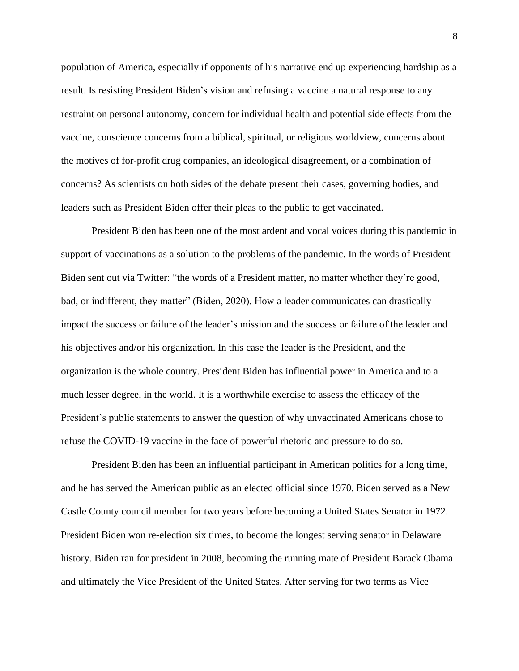population of America, especially if opponents of his narrative end up experiencing hardship as a result. Is resisting President Biden's vision and refusing a vaccine a natural response to any restraint on personal autonomy, concern for individual health and potential side effects from the vaccine, conscience concerns from a biblical, spiritual, or religious worldview, concerns about the motives of for-profit drug companies, an ideological disagreement, or a combination of concerns? As scientists on both sides of the debate present their cases, governing bodies, and leaders such as President Biden offer their pleas to the public to get vaccinated.

President Biden has been one of the most ardent and vocal voices during this pandemic in support of vaccinations as a solution to the problems of the pandemic. In the words of President Biden sent out via Twitter: "the words of a President matter, no matter whether they're good, bad, or indifferent, they matter" (Biden, 2020). How a leader communicates can drastically impact the success or failure of the leader's mission and the success or failure of the leader and his objectives and/or his organization. In this case the leader is the President, and the organization is the whole country. President Biden has influential power in America and to a much lesser degree, in the world. It is a worthwhile exercise to assess the efficacy of the President's public statements to answer the question of why unvaccinated Americans chose to refuse the COVID-19 vaccine in the face of powerful rhetoric and pressure to do so.

President Biden has been an influential participant in American politics for a long time, and he has served the American public as an elected official since 1970. Biden served as a New Castle County council member for two years before becoming a United States Senator in 1972. President Biden won re-election six times, to become the longest serving senator in Delaware history. Biden ran for president in 2008, becoming the running mate of President Barack Obama and ultimately the Vice President of the United States. After serving for two terms as Vice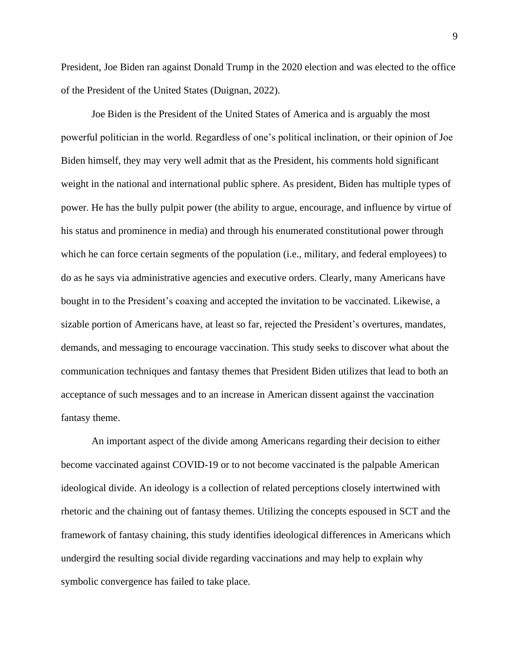President, Joe Biden ran against Donald Trump in the 2020 election and was elected to the office of the President of the United States (Duignan, 2022).

Joe Biden is the President of the United States of America and is arguably the most powerful politician in the world. Regardless of one's political inclination, or their opinion of Joe Biden himself, they may very well admit that as the President, his comments hold significant weight in the national and international public sphere. As president, Biden has multiple types of power. He has the bully pulpit power (the ability to argue, encourage, and influence by virtue of his status and prominence in media) and through his enumerated constitutional power through which he can force certain segments of the population (i.e., military, and federal employees) to do as he says via administrative agencies and executive orders. Clearly, many Americans have bought in to the President's coaxing and accepted the invitation to be vaccinated. Likewise, a sizable portion of Americans have, at least so far, rejected the President's overtures, mandates, demands, and messaging to encourage vaccination. This study seeks to discover what about the communication techniques and fantasy themes that President Biden utilizes that lead to both an acceptance of such messages and to an increase in American dissent against the vaccination fantasy theme.

An important aspect of the divide among Americans regarding their decision to either become vaccinated against COVID-19 or to not become vaccinated is the palpable American ideological divide. An ideology is a collection of related perceptions closely intertwined with rhetoric and the chaining out of fantasy themes. Utilizing the concepts espoused in SCT and the framework of fantasy chaining, this study identifies ideological differences in Americans which undergird the resulting social divide regarding vaccinations and may help to explain why symbolic convergence has failed to take place.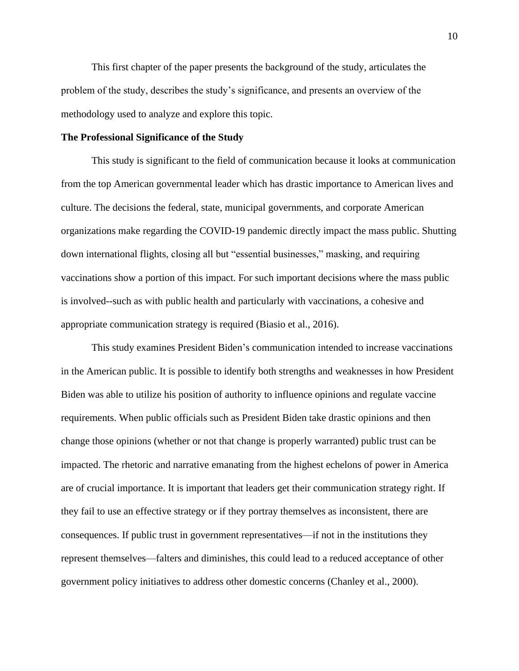This first chapter of the paper presents the background of the study, articulates the problem of the study, describes the study's significance, and presents an overview of the methodology used to analyze and explore this topic.

### **The Professional Significance of the Study**

This study is significant to the field of communication because it looks at communication from the top American governmental leader which has drastic importance to American lives and culture. The decisions the federal, state, municipal governments, and corporate American organizations make regarding the COVID-19 pandemic directly impact the mass public. Shutting down international flights, closing all but "essential businesses," masking, and requiring vaccinations show a portion of this impact. For such important decisions where the mass public is involved--such as with public health and particularly with vaccinations, a cohesive and appropriate communication strategy is required (Biasio et al., 2016).

This study examines President Biden's communication intended to increase vaccinations in the American public. It is possible to identify both strengths and weaknesses in how President Biden was able to utilize his position of authority to influence opinions and regulate vaccine requirements. When public officials such as President Biden take drastic opinions and then change those opinions (whether or not that change is properly warranted) public trust can be impacted. The rhetoric and narrative emanating from the highest echelons of power in America are of crucial importance. It is important that leaders get their communication strategy right. If they fail to use an effective strategy or if they portray themselves as inconsistent, there are consequences. If public trust in government representatives—if not in the institutions they represent themselves—falters and diminishes, this could lead to a reduced acceptance of other government policy initiatives to address other domestic concerns (Chanley et al., 2000).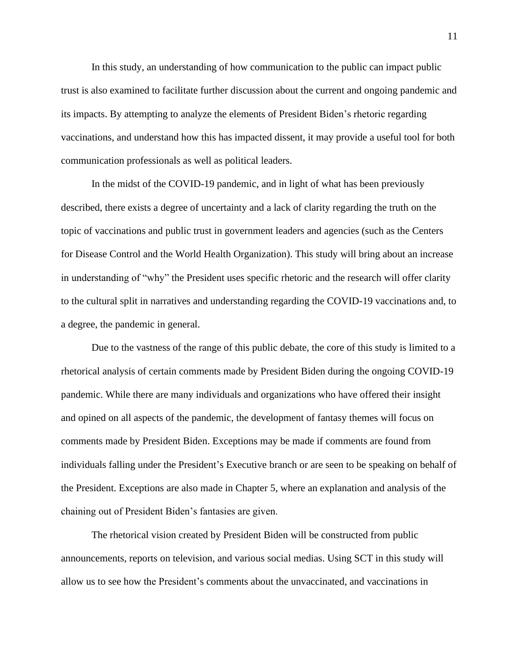In this study, an understanding of how communication to the public can impact public trust is also examined to facilitate further discussion about the current and ongoing pandemic and its impacts. By attempting to analyze the elements of President Biden's rhetoric regarding vaccinations, and understand how this has impacted dissent, it may provide a useful tool for both communication professionals as well as political leaders.

In the midst of the COVID-19 pandemic, and in light of what has been previously described, there exists a degree of uncertainty and a lack of clarity regarding the truth on the topic of vaccinations and public trust in government leaders and agencies (such as the Centers for Disease Control and the World Health Organization). This study will bring about an increase in understanding of "why" the President uses specific rhetoric and the research will offer clarity to the cultural split in narratives and understanding regarding the COVID-19 vaccinations and, to a degree, the pandemic in general.

Due to the vastness of the range of this public debate, the core of this study is limited to a rhetorical analysis of certain comments made by President Biden during the ongoing COVID-19 pandemic. While there are many individuals and organizations who have offered their insight and opined on all aspects of the pandemic, the development of fantasy themes will focus on comments made by President Biden. Exceptions may be made if comments are found from individuals falling under the President's Executive branch or are seen to be speaking on behalf of the President. Exceptions are also made in Chapter 5, where an explanation and analysis of the chaining out of President Biden's fantasies are given.

The rhetorical vision created by President Biden will be constructed from public announcements, reports on television, and various social medias. Using SCT in this study will allow us to see how the President's comments about the unvaccinated, and vaccinations in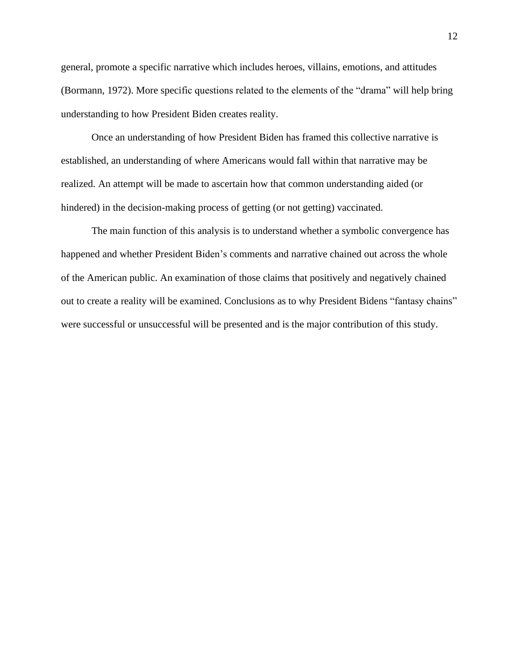general, promote a specific narrative which includes heroes, villains, emotions, and attitudes (Bormann, 1972). More specific questions related to the elements of the "drama" will help bring understanding to how President Biden creates reality.

Once an understanding of how President Biden has framed this collective narrative is established, an understanding of where Americans would fall within that narrative may be realized. An attempt will be made to ascertain how that common understanding aided (or hindered) in the decision-making process of getting (or not getting) vaccinated.

The main function of this analysis is to understand whether a symbolic convergence has happened and whether President Biden's comments and narrative chained out across the whole of the American public. An examination of those claims that positively and negatively chained out to create a reality will be examined. Conclusions as to why President Bidens "fantasy chains" were successful or unsuccessful will be presented and is the major contribution of this study.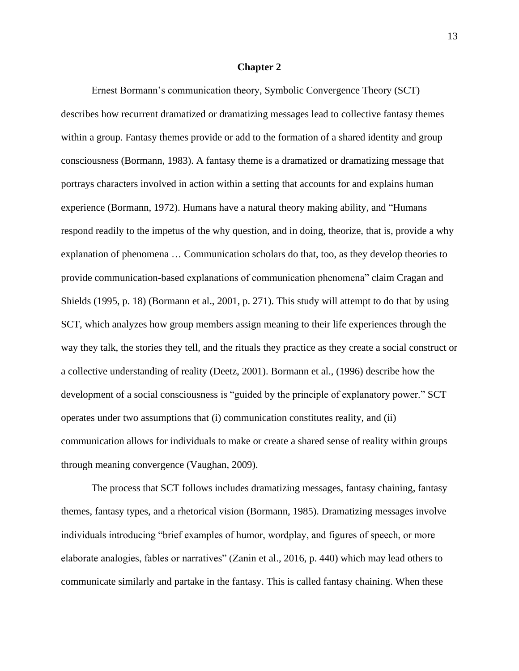# **Chapter 2**

Ernest Bormann's communication theory, Symbolic Convergence Theory (SCT) describes how recurrent dramatized or dramatizing messages lead to collective fantasy themes within a group. Fantasy themes provide or add to the formation of a shared identity and group consciousness (Bormann, 1983). A fantasy theme is a dramatized or dramatizing message that portrays characters involved in action within a setting that accounts for and explains human experience (Bormann, 1972). Humans have a natural theory making ability, and "Humans respond readily to the impetus of the why question, and in doing, theorize, that is, provide a why explanation of phenomena … Communication scholars do that, too, as they develop theories to provide communication-based explanations of communication phenomena" claim Cragan and Shields (1995, p. 18) (Bormann et al., 2001, p. 271). This study will attempt to do that by using SCT, which analyzes how group members assign meaning to their life experiences through the way they talk, the stories they tell, and the rituals they practice as they create a social construct or a collective understanding of reality (Deetz, 2001). Bormann et al., (1996) describe how the development of a social consciousness is "guided by the principle of explanatory power." SCT operates under two assumptions that (i) communication constitutes reality, and (ii) communication allows for individuals to make or create a shared sense of reality within groups through meaning convergence (Vaughan, 2009).

The process that SCT follows includes dramatizing messages, fantasy chaining, fantasy themes, fantasy types, and a rhetorical vision (Bormann, 1985). Dramatizing messages involve individuals introducing "brief examples of humor, wordplay, and figures of speech, or more elaborate analogies, fables or narratives" (Zanin et al., 2016, p. 440) which may lead others to communicate similarly and partake in the fantasy. This is called fantasy chaining. When these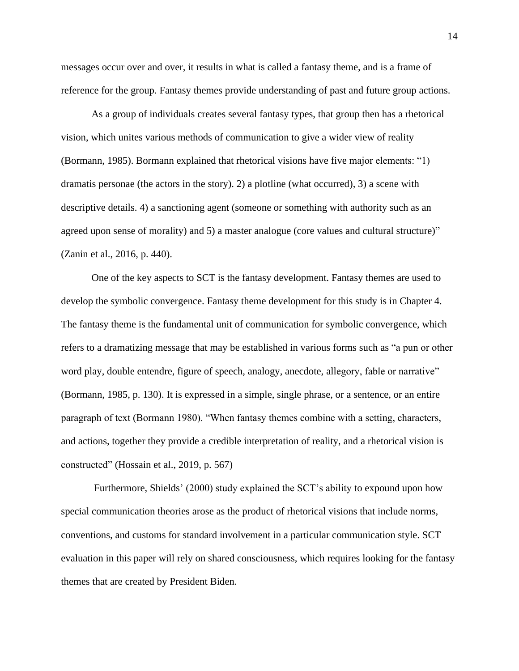messages occur over and over, it results in what is called a fantasy theme, and is a frame of reference for the group. Fantasy themes provide understanding of past and future group actions.

As a group of individuals creates several fantasy types, that group then has a rhetorical vision, which unites various methods of communication to give a wider view of reality (Bormann, 1985). Bormann explained that rhetorical visions have five major elements: "1) dramatis personae (the actors in the story). 2) a plotline (what occurred), 3) a scene with descriptive details. 4) a sanctioning agent (someone or something with authority such as an agreed upon sense of morality) and 5) a master analogue (core values and cultural structure)" (Zanin et al., 2016, p. 440).

One of the key aspects to SCT is the fantasy development. Fantasy themes are used to develop the symbolic convergence. Fantasy theme development for this study is in Chapter 4. The fantasy theme is the fundamental unit of communication for symbolic convergence, which refers to a dramatizing message that may be established in various forms such as "a pun or other word play, double entendre, figure of speech, analogy, anecdote, allegory, fable or narrative" (Bormann, 1985, p. 130). It is expressed in a simple, single phrase, or a sentence, or an entire paragraph of text (Bormann 1980). "When fantasy themes combine with a setting, characters, and actions, together they provide a credible interpretation of reality, and a rhetorical vision is constructed" (Hossain et al., 2019, p. 567)

Furthermore, Shields' (2000) study explained the SCT's ability to expound upon how special communication theories arose as the product of rhetorical visions that include norms, conventions, and customs for standard involvement in a particular communication style. SCT evaluation in this paper will rely on shared consciousness, which requires looking for the fantasy themes that are created by President Biden.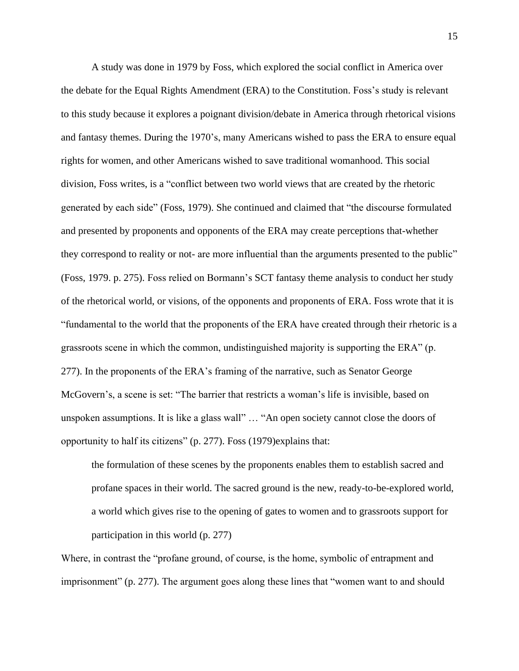A study was done in 1979 by Foss, which explored the social conflict in America over the debate for the Equal Rights Amendment (ERA) to the Constitution. Foss's study is relevant to this study because it explores a poignant division/debate in America through rhetorical visions and fantasy themes. During the 1970's, many Americans wished to pass the ERA to ensure equal rights for women, and other Americans wished to save traditional womanhood. This social division, Foss writes, is a "conflict between two world views that are created by the rhetoric generated by each side" (Foss, 1979). She continued and claimed that "the discourse formulated and presented by proponents and opponents of the ERA may create perceptions that-whether they correspond to reality or not- are more influential than the arguments presented to the public" (Foss, 1979. p. 275). Foss relied on Bormann's SCT fantasy theme analysis to conduct her study of the rhetorical world, or visions, of the opponents and proponents of ERA. Foss wrote that it is "fundamental to the world that the proponents of the ERA have created through their rhetoric is a grassroots scene in which the common, undistinguished majority is supporting the ERA" (p. 277). In the proponents of the ERA's framing of the narrative, such as Senator George McGovern's, a scene is set: "The barrier that restricts a woman's life is invisible, based on unspoken assumptions. It is like a glass wall" … "An open society cannot close the doors of opportunity to half its citizens" (p. 277). Foss (1979)explains that:

the formulation of these scenes by the proponents enables them to establish sacred and profane spaces in their world. The sacred ground is the new, ready-to-be-explored world, a world which gives rise to the opening of gates to women and to grassroots support for participation in this world (p. 277)

Where, in contrast the "profane ground, of course, is the home, symbolic of entrapment and imprisonment" (p. 277). The argument goes along these lines that "women want to and should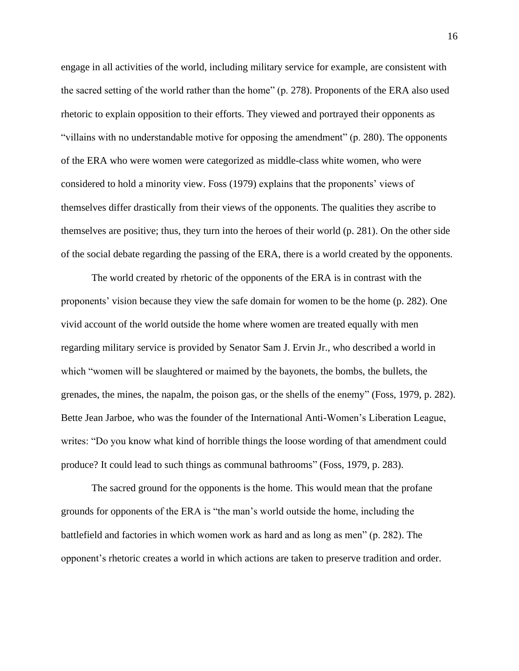engage in all activities of the world, including military service for example, are consistent with the sacred setting of the world rather than the home" (p. 278). Proponents of the ERA also used rhetoric to explain opposition to their efforts. They viewed and portrayed their opponents as "villains with no understandable motive for opposing the amendment" (p. 280). The opponents of the ERA who were women were categorized as middle-class white women, who were considered to hold a minority view. Foss (1979) explains that the proponents' views of themselves differ drastically from their views of the opponents. The qualities they ascribe to themselves are positive; thus, they turn into the heroes of their world (p. 281). On the other side of the social debate regarding the passing of the ERA, there is a world created by the opponents.

The world created by rhetoric of the opponents of the ERA is in contrast with the proponents' vision because they view the safe domain for women to be the home (p. 282). One vivid account of the world outside the home where women are treated equally with men regarding military service is provided by Senator Sam J. Ervin Jr., who described a world in which "women will be slaughtered or maimed by the bayonets, the bombs, the bullets, the grenades, the mines, the napalm, the poison gas, or the shells of the enemy" (Foss, 1979, p. 282). Bette Jean Jarboe, who was the founder of the International Anti-Women's Liberation League, writes: "Do you know what kind of horrible things the loose wording of that amendment could produce? It could lead to such things as communal bathrooms" (Foss, 1979, p. 283).

The sacred ground for the opponents is the home. This would mean that the profane grounds for opponents of the ERA is "the man's world outside the home, including the battlefield and factories in which women work as hard and as long as men" (p. 282). The opponent's rhetoric creates a world in which actions are taken to preserve tradition and order.

16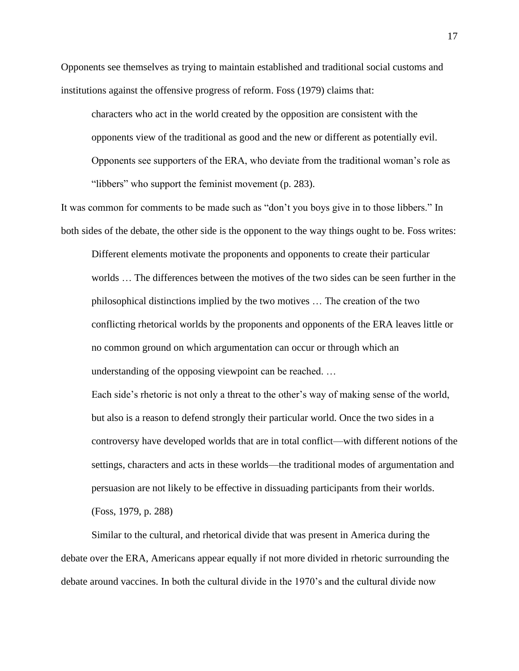Opponents see themselves as trying to maintain established and traditional social customs and institutions against the offensive progress of reform. Foss (1979) claims that:

characters who act in the world created by the opposition are consistent with the opponents view of the traditional as good and the new or different as potentially evil. Opponents see supporters of the ERA, who deviate from the traditional woman's role as "libbers" who support the feminist movement (p. 283).

It was common for comments to be made such as "don't you boys give in to those libbers." In both sides of the debate, the other side is the opponent to the way things ought to be. Foss writes:

Different elements motivate the proponents and opponents to create their particular worlds … The differences between the motives of the two sides can be seen further in the philosophical distinctions implied by the two motives … The creation of the two conflicting rhetorical worlds by the proponents and opponents of the ERA leaves little or no common ground on which argumentation can occur or through which an understanding of the opposing viewpoint can be reached. …

Each side's rhetoric is not only a threat to the other's way of making sense of the world, but also is a reason to defend strongly their particular world. Once the two sides in a controversy have developed worlds that are in total conflict—with different notions of the settings, characters and acts in these worlds—the traditional modes of argumentation and persuasion are not likely to be effective in dissuading participants from their worlds. (Foss, 1979, p. 288)

Similar to the cultural, and rhetorical divide that was present in America during the debate over the ERA, Americans appear equally if not more divided in rhetoric surrounding the debate around vaccines. In both the cultural divide in the 1970's and the cultural divide now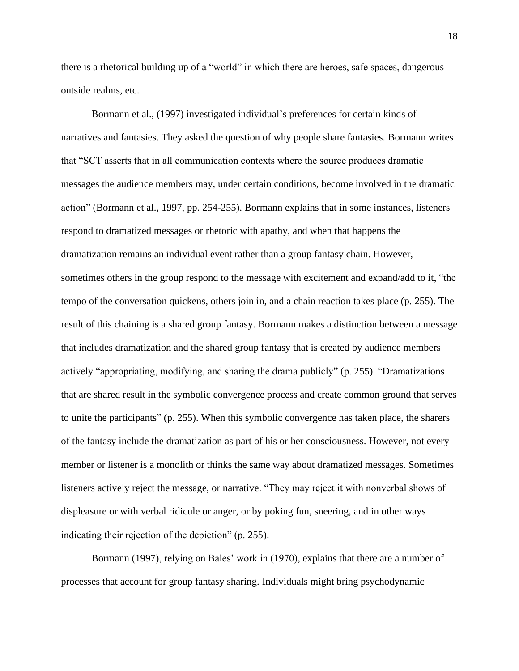there is a rhetorical building up of a "world" in which there are heroes, safe spaces, dangerous outside realms, etc.

Bormann et al., (1997) investigated individual's preferences for certain kinds of narratives and fantasies. They asked the question of why people share fantasies. Bormann writes that "SCT asserts that in all communication contexts where the source produces dramatic messages the audience members may, under certain conditions, become involved in the dramatic action" (Bormann et al., 1997, pp. 254-255). Bormann explains that in some instances, listeners respond to dramatized messages or rhetoric with apathy, and when that happens the dramatization remains an individual event rather than a group fantasy chain. However, sometimes others in the group respond to the message with excitement and expand/add to it, "the tempo of the conversation quickens, others join in, and a chain reaction takes place (p. 255). The result of this chaining is a shared group fantasy. Bormann makes a distinction between a message that includes dramatization and the shared group fantasy that is created by audience members actively "appropriating, modifying, and sharing the drama publicly" (p. 255). "Dramatizations that are shared result in the symbolic convergence process and create common ground that serves to unite the participants" (p. 255). When this symbolic convergence has taken place, the sharers of the fantasy include the dramatization as part of his or her consciousness. However, not every member or listener is a monolith or thinks the same way about dramatized messages. Sometimes listeners actively reject the message, or narrative. "They may reject it with nonverbal shows of displeasure or with verbal ridicule or anger, or by poking fun, sneering, and in other ways indicating their rejection of the depiction" (p. 255).

Bormann (1997), relying on Bales' work in (1970), explains that there are a number of processes that account for group fantasy sharing. Individuals might bring psychodynamic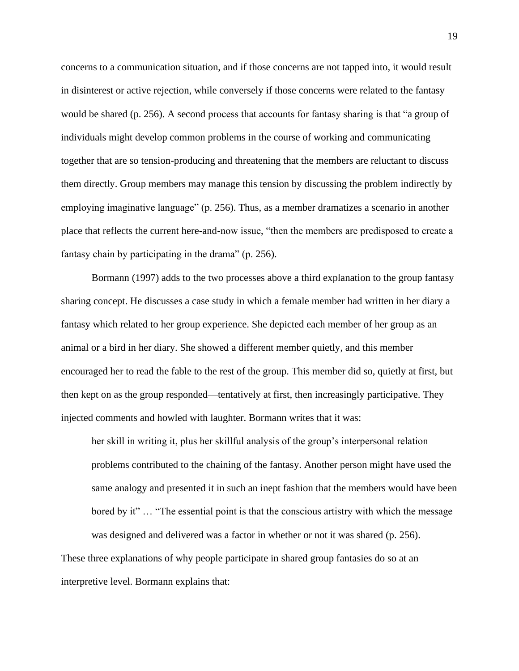concerns to a communication situation, and if those concerns are not tapped into, it would result in disinterest or active rejection, while conversely if those concerns were related to the fantasy would be shared (p. 256). A second process that accounts for fantasy sharing is that "a group of individuals might develop common problems in the course of working and communicating together that are so tension-producing and threatening that the members are reluctant to discuss them directly. Group members may manage this tension by discussing the problem indirectly by employing imaginative language" (p. 256). Thus, as a member dramatizes a scenario in another place that reflects the current here-and-now issue, "then the members are predisposed to create a fantasy chain by participating in the drama" (p. 256).

Bormann (1997) adds to the two processes above a third explanation to the group fantasy sharing concept. He discusses a case study in which a female member had written in her diary a fantasy which related to her group experience. She depicted each member of her group as an animal or a bird in her diary. She showed a different member quietly, and this member encouraged her to read the fable to the rest of the group. This member did so, quietly at first, but then kept on as the group responded—tentatively at first, then increasingly participative. They injected comments and howled with laughter. Bormann writes that it was:

her skill in writing it, plus her skillful analysis of the group's interpersonal relation problems contributed to the chaining of the fantasy. Another person might have used the same analogy and presented it in such an inept fashion that the members would have been bored by it" … "The essential point is that the conscious artistry with which the message was designed and delivered was a factor in whether or not it was shared (p. 256).

These three explanations of why people participate in shared group fantasies do so at an interpretive level. Bormann explains that: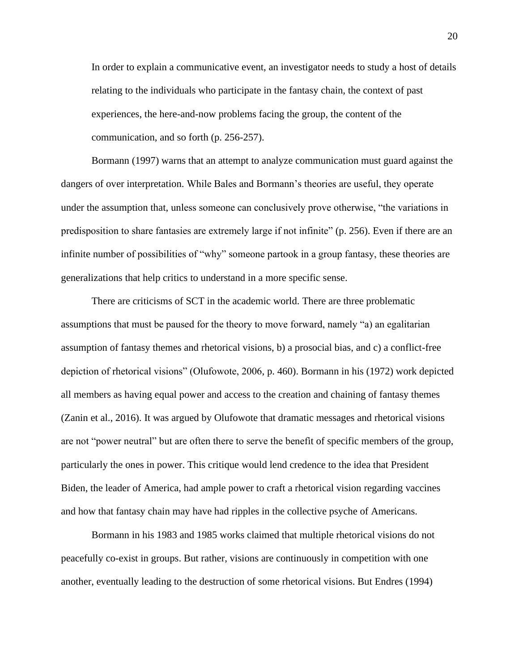In order to explain a communicative event, an investigator needs to study a host of details relating to the individuals who participate in the fantasy chain, the context of past experiences, the here-and-now problems facing the group, the content of the communication, and so forth (p. 256-257).

Bormann (1997) warns that an attempt to analyze communication must guard against the dangers of over interpretation. While Bales and Bormann's theories are useful, they operate under the assumption that, unless someone can conclusively prove otherwise, "the variations in predisposition to share fantasies are extremely large if not infinite" (p. 256). Even if there are an infinite number of possibilities of "why" someone partook in a group fantasy, these theories are generalizations that help critics to understand in a more specific sense.

There are criticisms of SCT in the academic world. There are three problematic assumptions that must be paused for the theory to move forward, namely "a) an egalitarian assumption of fantasy themes and rhetorical visions, b) a prosocial bias, and c) a conflict-free depiction of rhetorical visions" (Olufowote, 2006, p. 460). Bormann in his (1972) work depicted all members as having equal power and access to the creation and chaining of fantasy themes (Zanin et al., 2016). It was argued by Olufowote that dramatic messages and rhetorical visions are not "power neutral" but are often there to serve the benefit of specific members of the group, particularly the ones in power. This critique would lend credence to the idea that President Biden, the leader of America, had ample power to craft a rhetorical vision regarding vaccines and how that fantasy chain may have had ripples in the collective psyche of Americans.

Bormann in his 1983 and 1985 works claimed that multiple rhetorical visions do not peacefully co-exist in groups. But rather, visions are continuously in competition with one another, eventually leading to the destruction of some rhetorical visions. But Endres (1994)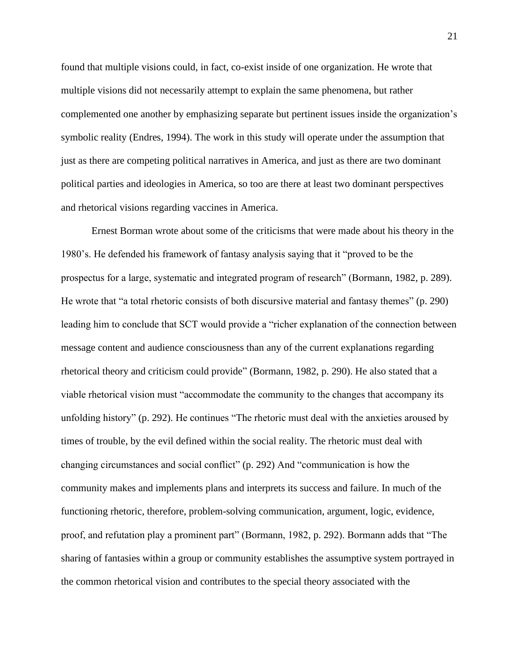found that multiple visions could, in fact, co-exist inside of one organization. He wrote that multiple visions did not necessarily attempt to explain the same phenomena, but rather complemented one another by emphasizing separate but pertinent issues inside the organization's symbolic reality (Endres, 1994). The work in this study will operate under the assumption that just as there are competing political narratives in America, and just as there are two dominant political parties and ideologies in America, so too are there at least two dominant perspectives and rhetorical visions regarding vaccines in America.

Ernest Borman wrote about some of the criticisms that were made about his theory in the 1980's. He defended his framework of fantasy analysis saying that it "proved to be the prospectus for a large, systematic and integrated program of research" (Bormann, 1982, p. 289). He wrote that "a total rhetoric consists of both discursive material and fantasy themes" (p. 290) leading him to conclude that SCT would provide a "richer explanation of the connection between message content and audience consciousness than any of the current explanations regarding rhetorical theory and criticism could provide" (Bormann, 1982, p. 290). He also stated that a viable rhetorical vision must "accommodate the community to the changes that accompany its unfolding history" (p. 292). He continues "The rhetoric must deal with the anxieties aroused by times of trouble, by the evil defined within the social reality. The rhetoric must deal with changing circumstances and social conflict" (p. 292) And "communication is how the community makes and implements plans and interprets its success and failure. In much of the functioning rhetoric, therefore, problem-solving communication, argument, logic, evidence, proof, and refutation play a prominent part" (Bormann, 1982, p. 292). Bormann adds that "The sharing of fantasies within a group or community establishes the assumptive system portrayed in the common rhetorical vision and contributes to the special theory associated with the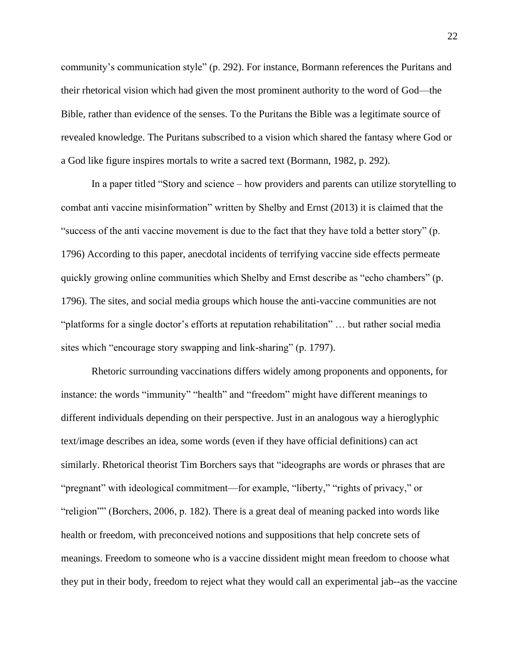community's communication style" (p. 292). For instance, Bormann references the Puritans and their rhetorical vision which had given the most prominent authority to the word of God—the Bible, rather than evidence of the senses. To the Puritans the Bible was a legitimate source of revealed knowledge. The Puritans subscribed to a vision which shared the fantasy where God or a God like figure inspires mortals to write a sacred text (Bormann, 1982, p. 292).

In a paper titled "Story and science – how providers and parents can utilize storytelling to combat anti vaccine misinformation" written by Shelby and Ernst (2013) it is claimed that the "success of the anti vaccine movement is due to the fact that they have told a better story" (p. 1796) According to this paper, anecdotal incidents of terrifying vaccine side effects permeate quickly growing online communities which Shelby and Ernst describe as "echo chambers" (p. 1796). The sites, and social media groups which house the anti-vaccine communities are not "platforms for a single doctor's efforts at reputation rehabilitation" … but rather social media sites which "encourage story swapping and link-sharing" (p. 1797).

Rhetoric surrounding vaccinations differs widely among proponents and opponents, for instance: the words "immunity" "health" and "freedom" might have different meanings to different individuals depending on their perspective. Just in an analogous way a hieroglyphic text/image describes an idea, some words (even if they have official definitions) can act similarly. Rhetorical theorist Tim Borchers says that "ideographs are words or phrases that are "pregnant" with ideological commitment—for example, "liberty," "rights of privacy," or "religion"" (Borchers, 2006, p. 182). There is a great deal of meaning packed into words like health or freedom, with preconceived notions and suppositions that help concrete sets of meanings. Freedom to someone who is a vaccine dissident might mean freedom to choose what they put in their body, freedom to reject what they would call an experimental jab--as the vaccine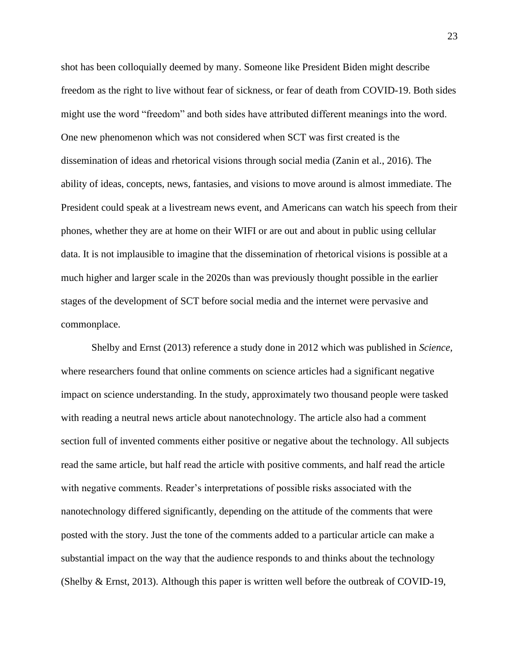shot has been colloquially deemed by many. Someone like President Biden might describe freedom as the right to live without fear of sickness, or fear of death from COVID-19. Both sides might use the word "freedom" and both sides have attributed different meanings into the word. One new phenomenon which was not considered when SCT was first created is the dissemination of ideas and rhetorical visions through social media (Zanin et al., 2016). The ability of ideas, concepts, news, fantasies, and visions to move around is almost immediate. The President could speak at a livestream news event, and Americans can watch his speech from their phones, whether they are at home on their WIFI or are out and about in public using cellular data. It is not implausible to imagine that the dissemination of rhetorical visions is possible at a much higher and larger scale in the 2020s than was previously thought possible in the earlier stages of the development of SCT before social media and the internet were pervasive and commonplace.

Shelby and Ernst (2013) reference a study done in 2012 which was published in *Science,*  where researchers found that online comments on science articles had a significant negative impact on science understanding. In the study, approximately two thousand people were tasked with reading a neutral news article about nanotechnology. The article also had a comment section full of invented comments either positive or negative about the technology. All subjects read the same article, but half read the article with positive comments, and half read the article with negative comments. Reader's interpretations of possible risks associated with the nanotechnology differed significantly, depending on the attitude of the comments that were posted with the story. Just the tone of the comments added to a particular article can make a substantial impact on the way that the audience responds to and thinks about the technology (Shelby & Ernst, 2013). Although this paper is written well before the outbreak of COVID-19,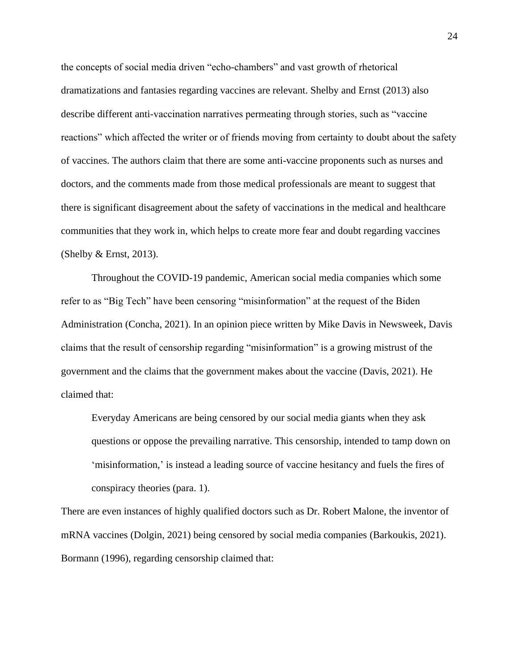the concepts of social media driven "echo-chambers" and vast growth of rhetorical dramatizations and fantasies regarding vaccines are relevant. Shelby and Ernst (2013) also describe different anti-vaccination narratives permeating through stories, such as "vaccine reactions" which affected the writer or of friends moving from certainty to doubt about the safety of vaccines. The authors claim that there are some anti-vaccine proponents such as nurses and doctors, and the comments made from those medical professionals are meant to suggest that there is significant disagreement about the safety of vaccinations in the medical and healthcare communities that they work in, which helps to create more fear and doubt regarding vaccines (Shelby  $&$  Ernst, 2013).

Throughout the COVID-19 pandemic, American social media companies which some refer to as "Big Tech" have been censoring "misinformation" at the request of the Biden Administration (Concha, 2021). In an opinion piece written by Mike Davis in Newsweek, Davis claims that the result of censorship regarding "misinformation" is a growing mistrust of the government and the claims that the government makes about the vaccine (Davis, 2021). He claimed that:

Everyday Americans are being censored by our social media giants when they ask questions or oppose the prevailing narrative. This censorship, intended to tamp down on 'misinformation,' is instead a leading source of vaccine hesitancy and fuels the fires of conspiracy theories (para. 1).

There are even instances of highly qualified doctors such as Dr. Robert Malone, the inventor of mRNA vaccines (Dolgin, 2021) being censored by social media companies (Barkoukis, 2021). Bormann (1996), regarding censorship claimed that: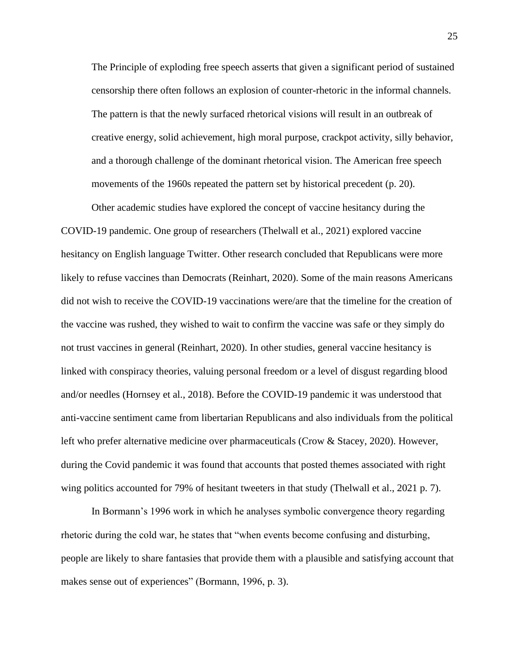The Principle of exploding free speech asserts that given a significant period of sustained censorship there often follows an explosion of counter-rhetoric in the informal channels. The pattern is that the newly surfaced rhetorical visions will result in an outbreak of creative energy, solid achievement, high moral purpose, crackpot activity, silly behavior, and a thorough challenge of the dominant rhetorical vision. The American free speech movements of the 1960s repeated the pattern set by historical precedent (p. 20).

Other academic studies have explored the concept of vaccine hesitancy during the COVID-19 pandemic. One group of researchers (Thelwall et al., 2021) explored vaccine hesitancy on English language Twitter. Other research concluded that Republicans were more likely to refuse vaccines than Democrats (Reinhart, 2020). Some of the main reasons Americans did not wish to receive the COVID-19 vaccinations were/are that the timeline for the creation of the vaccine was rushed, they wished to wait to confirm the vaccine was safe or they simply do not trust vaccines in general (Reinhart, 2020). In other studies, general vaccine hesitancy is linked with conspiracy theories, valuing personal freedom or a level of disgust regarding blood and/or needles (Hornsey et al., 2018). Before the COVID-19 pandemic it was understood that anti-vaccine sentiment came from libertarian Republicans and also individuals from the political left who prefer alternative medicine over pharmaceuticals (Crow & Stacey, 2020). However, during the Covid pandemic it was found that accounts that posted themes associated with right wing politics accounted for 79% of hesitant tweeters in that study (Thelwall et al., 2021 p. 7).

In Bormann's 1996 work in which he analyses symbolic convergence theory regarding rhetoric during the cold war, he states that "when events become confusing and disturbing, people are likely to share fantasies that provide them with a plausible and satisfying account that makes sense out of experiences" (Bormann, 1996, p. 3).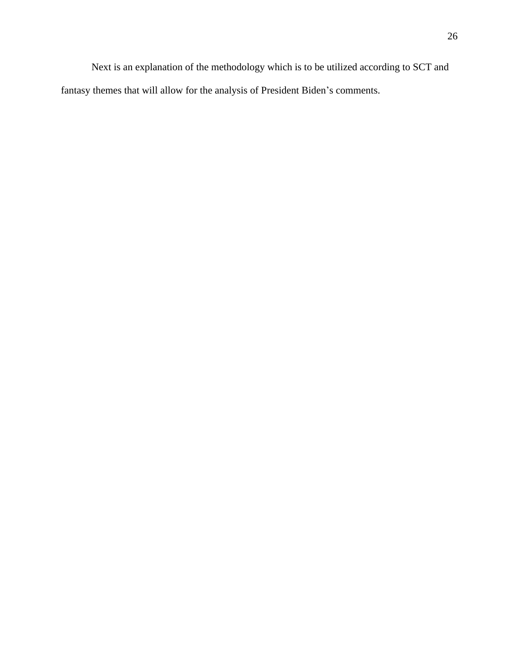Next is an explanation of the methodology which is to be utilized according to SCT and fantasy themes that will allow for the analysis of President Biden's comments.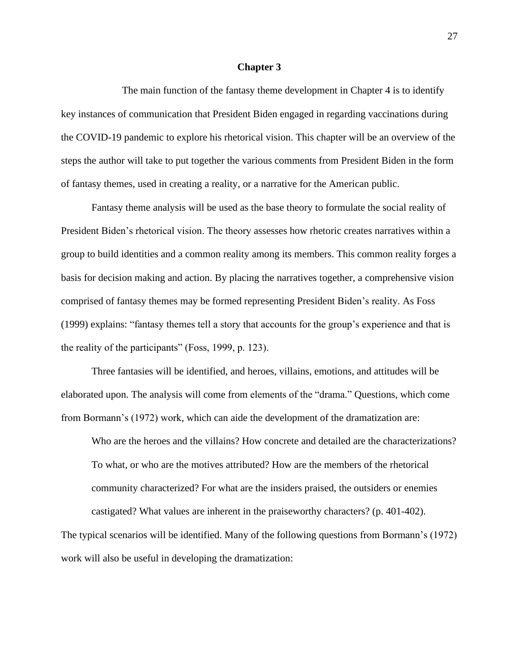#### **Chapter 3**

The main function of the fantasy theme development in Chapter 4 is to identify key instances of communication that President Biden engaged in regarding vaccinations during the COVID-19 pandemic to explore his rhetorical vision. This chapter will be an overview of the steps the author will take to put together the various comments from President Biden in the form of fantasy themes, used in creating a reality, or a narrative for the American public.

Fantasy theme analysis will be used as the base theory to formulate the social reality of President Biden's rhetorical vision. The theory assesses how rhetoric creates narratives within a group to build identities and a common reality among its members. This common reality forges a basis for decision making and action. By placing the narratives together, a comprehensive vision comprised of fantasy themes may be formed representing President Biden's reality. As Foss (1999) explains: "fantasy themes tell a story that accounts for the group's experience and that is the reality of the participants" (Foss, 1999, p. 123).

Three fantasies will be identified, and heroes, villains, emotions, and attitudes will be elaborated upon. The analysis will come from elements of the "drama." Questions, which come from Bormann's (1972) work, which can aide the development of the dramatization are:

Who are the heroes and the villains? How concrete and detailed are the characterizations? To what, or who are the motives attributed? How are the members of the rhetorical community characterized? For what are the insiders praised, the outsiders or enemies castigated? What values are inherent in the praiseworthy characters? (p. 401-402).

The typical scenarios will be identified. Many of the following questions from Bormann's (1972) work will also be useful in developing the dramatization: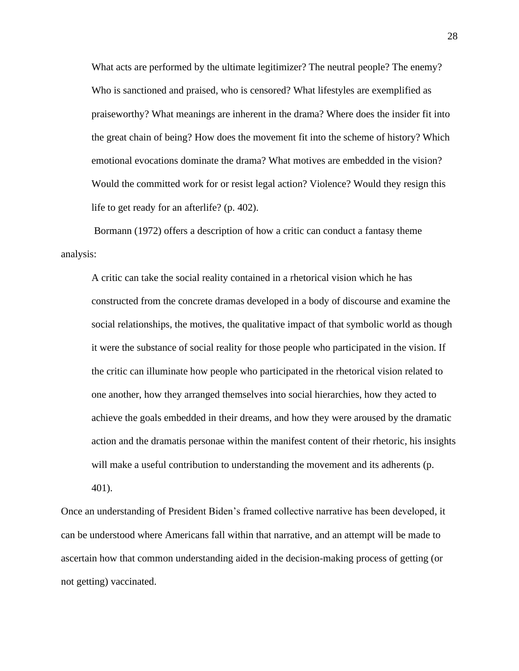What acts are performed by the ultimate legitimizer? The neutral people? The enemy? Who is sanctioned and praised, who is censored? What lifestyles are exemplified as praiseworthy? What meanings are inherent in the drama? Where does the insider fit into the great chain of being? How does the movement fit into the scheme of history? Which emotional evocations dominate the drama? What motives are embedded in the vision? Would the committed work for or resist legal action? Violence? Would they resign this life to get ready for an afterlife? (p. 402).

Bormann (1972) offers a description of how a critic can conduct a fantasy theme analysis:

A critic can take the social reality contained in a rhetorical vision which he has constructed from the concrete dramas developed in a body of discourse and examine the social relationships, the motives, the qualitative impact of that symbolic world as though it were the substance of social reality for those people who participated in the vision. If the critic can illuminate how people who participated in the rhetorical vision related to one another, how they arranged themselves into social hierarchies, how they acted to achieve the goals embedded in their dreams, and how they were aroused by the dramatic action and the dramatis personae within the manifest content of their rhetoric, his insights will make a useful contribution to understanding the movement and its adherents (p. 401).

Once an understanding of President Biden's framed collective narrative has been developed, it can be understood where Americans fall within that narrative, and an attempt will be made to ascertain how that common understanding aided in the decision-making process of getting (or not getting) vaccinated.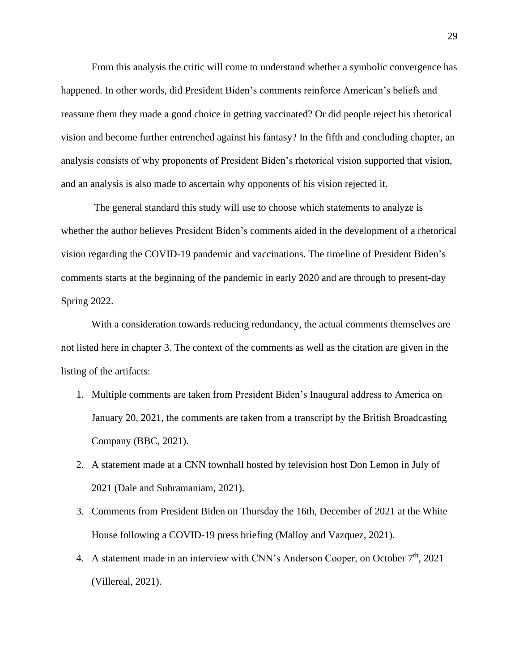From this analysis the critic will come to understand whether a symbolic convergence has happened. In other words, did President Biden's comments reinforce American's beliefs and reassure them they made a good choice in getting vaccinated? Or did people reject his rhetorical vision and become further entrenched against his fantasy? In the fifth and concluding chapter, an analysis consists of why proponents of President Biden's rhetorical vision supported that vision, and an analysis is also made to ascertain why opponents of his vision rejected it.

The general standard this study will use to choose which statements to analyze is whether the author believes President Biden's comments aided in the development of a rhetorical vision regarding the COVID-19 pandemic and vaccinations. The timeline of President Biden's comments starts at the beginning of the pandemic in early 2020 and are through to present-day Spring 2022.

With a consideration towards reducing redundancy, the actual comments themselves are not listed here in chapter 3. The context of the comments as well as the citation are given in the listing of the artifacts:

- 1. Multiple comments are taken from President Biden's Inaugural address to America on January 20, 2021, the comments are taken from a transcript by the British Broadcasting Company (BBC, 2021).
- 2. A statement made at a CNN townhall hosted by television host Don Lemon in July of 2021 (Dale and Subramaniam, 2021).
- 3. Comments from President Biden on Thursday the 16th, December of 2021 at the White House following a COVID-19 press briefing (Malloy and Vazquez, 2021).
- 4. A statement made in an interview with CNN's Anderson Cooper, on October  $7<sup>th</sup>$ , 2021 (Villereal, 2021).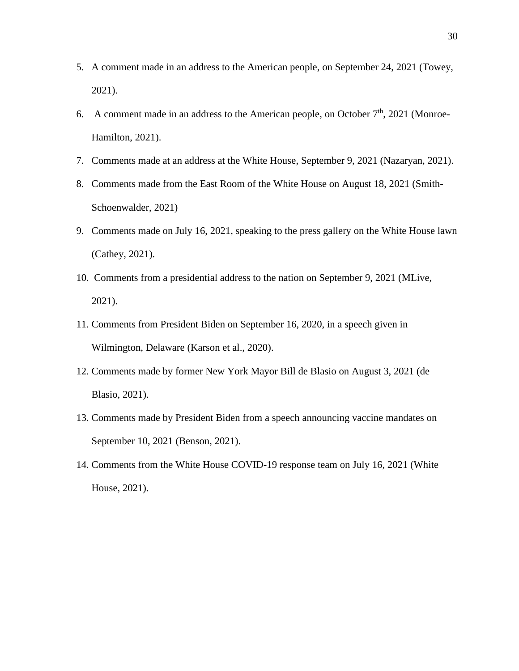- 5. A comment made in an address to the American people, on September 24, 2021 (Towey, 2021).
- 6. A comment made in an address to the American people, on October  $7<sup>th</sup>$ , 2021 (Monroe-Hamilton, 2021).
- 7. Comments made at an address at the White House, September 9, 2021 (Nazaryan, 2021).
- 8. Comments made from the East Room of the White House on August 18, 2021 (Smith-Schoenwalder, 2021)
- 9. Comments made on July 16, 2021, speaking to the press gallery on the White House lawn (Cathey, 2021).
- 10. Comments from a presidential address to the nation on September 9, 2021 (MLive, 2021).
- 11. Comments from President Biden on September 16, 2020, in a speech given in Wilmington, Delaware (Karson et al., 2020).
- 12. Comments made by former New York Mayor Bill de Blasio on August 3, 2021 (de Blasio, 2021).
- 13. Comments made by President Biden from a speech announcing vaccine mandates on September 10, 2021 (Benson, 2021).
- 14. Comments from the White House COVID-19 response team on July 16, 2021 (White House, 2021).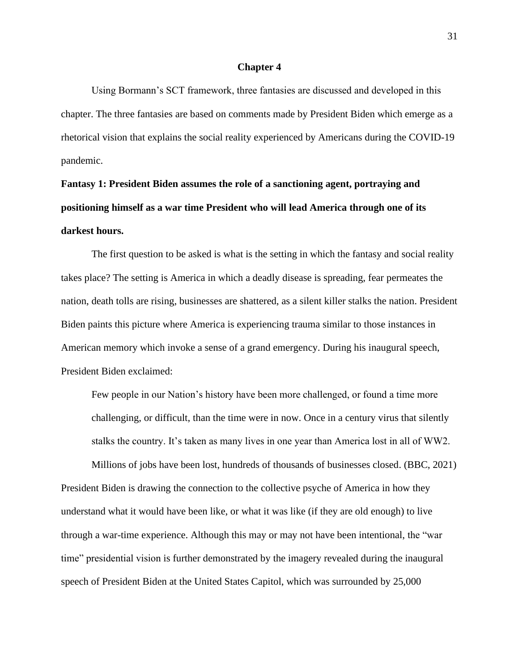### **Chapter 4**

Using Bormann's SCT framework, three fantasies are discussed and developed in this chapter. The three fantasies are based on comments made by President Biden which emerge as a rhetorical vision that explains the social reality experienced by Americans during the COVID-19 pandemic.

# **Fantasy 1: President Biden assumes the role of a sanctioning agent, portraying and positioning himself as a war time President who will lead America through one of its darkest hours.**

The first question to be asked is what is the setting in which the fantasy and social reality takes place? The setting is America in which a deadly disease is spreading, fear permeates the nation, death tolls are rising, businesses are shattered, as a silent killer stalks the nation. President Biden paints this picture where America is experiencing trauma similar to those instances in American memory which invoke a sense of a grand emergency. During his inaugural speech, President Biden exclaimed:

Few people in our Nation's history have been more challenged, or found a time more challenging, or difficult, than the time were in now. Once in a century virus that silently stalks the country. It's taken as many lives in one year than America lost in all of WW2.

Millions of jobs have been lost, hundreds of thousands of businesses closed. (BBC, 2021) President Biden is drawing the connection to the collective psyche of America in how they understand what it would have been like, or what it was like (if they are old enough) to live through a war-time experience. Although this may or may not have been intentional, the "war time" presidential vision is further demonstrated by the imagery revealed during the inaugural speech of President Biden at the United States Capitol, which was surrounded by 25,000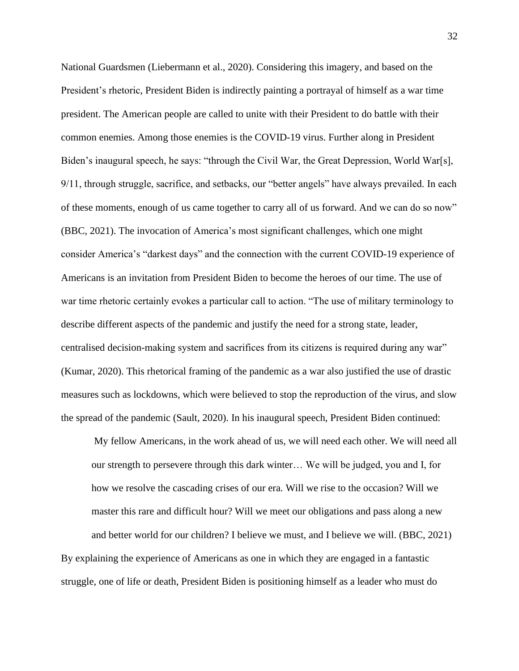National Guardsmen (Liebermann et al., 2020). Considering this imagery, and based on the President's rhetoric, President Biden is indirectly painting a portrayal of himself as a war time president. The American people are called to unite with their President to do battle with their common enemies. Among those enemies is the COVID-19 virus. Further along in President Biden's inaugural speech, he says: "through the Civil War, the Great Depression, World War[s], 9/11, through struggle, sacrifice, and setbacks, our "better angels" have always prevailed. In each of these moments, enough of us came together to carry all of us forward. And we can do so now" (BBC, 2021). The invocation of America's most significant challenges, which one might consider America's "darkest days" and the connection with the current COVID-19 experience of Americans is an invitation from President Biden to become the heroes of our time. The use of war time rhetoric certainly evokes a particular call to action. "The use of military terminology to describe different aspects of the pandemic and justify the need for a strong state, leader, centralised decision-making system and sacrifices from its citizens is required during any war" (Kumar, 2020). This rhetorical framing of the pandemic as a war also justified the use of drastic measures such as lockdowns, which were believed to stop the reproduction of the virus, and slow the spread of the pandemic (Sault, 2020). In his inaugural speech, President Biden continued:

My fellow Americans, in the work ahead of us, we will need each other. We will need all our strength to persevere through this dark winter… We will be judged, you and I, for how we resolve the cascading crises of our era. Will we rise to the occasion? Will we master this rare and difficult hour? Will we meet our obligations and pass along a new and better world for our children? I believe we must, and I believe we will. (BBC, 2021) By explaining the experience of Americans as one in which they are engaged in a fantastic struggle, one of life or death, President Biden is positioning himself as a leader who must do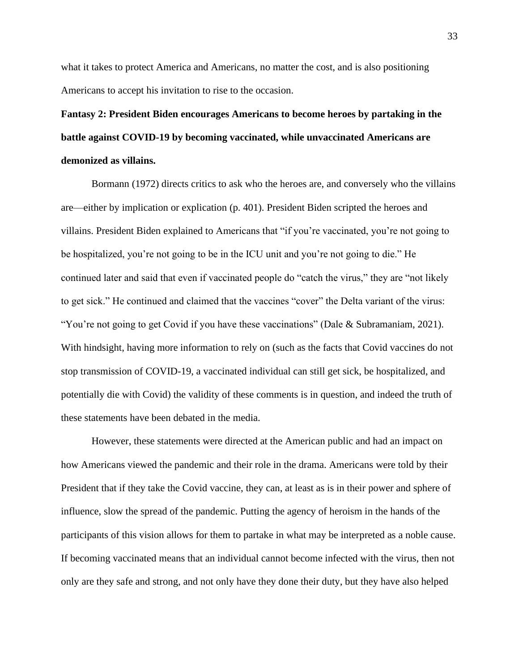what it takes to protect America and Americans, no matter the cost, and is also positioning Americans to accept his invitation to rise to the occasion.

# **Fantasy 2: President Biden encourages Americans to become heroes by partaking in the battle against COVID-19 by becoming vaccinated, while unvaccinated Americans are demonized as villains.**

Bormann (1972) directs critics to ask who the heroes are, and conversely who the villains are—either by implication or explication (p. 401). President Biden scripted the heroes and villains. President Biden explained to Americans that "if you're vaccinated, you're not going to be hospitalized, you're not going to be in the ICU unit and you're not going to die." He continued later and said that even if vaccinated people do "catch the virus," they are "not likely to get sick." He continued and claimed that the vaccines "cover" the Delta variant of the virus: "You're not going to get Covid if you have these vaccinations" (Dale & Subramaniam, 2021). With hindsight, having more information to rely on (such as the facts that Covid vaccines do not stop transmission of COVID-19, a vaccinated individual can still get sick, be hospitalized, and potentially die with Covid) the validity of these comments is in question, and indeed the truth of these statements have been debated in the media.

However, these statements were directed at the American public and had an impact on how Americans viewed the pandemic and their role in the drama. Americans were told by their President that if they take the Covid vaccine, they can, at least as is in their power and sphere of influence, slow the spread of the pandemic. Putting the agency of heroism in the hands of the participants of this vision allows for them to partake in what may be interpreted as a noble cause. If becoming vaccinated means that an individual cannot become infected with the virus, then not only are they safe and strong, and not only have they done their duty, but they have also helped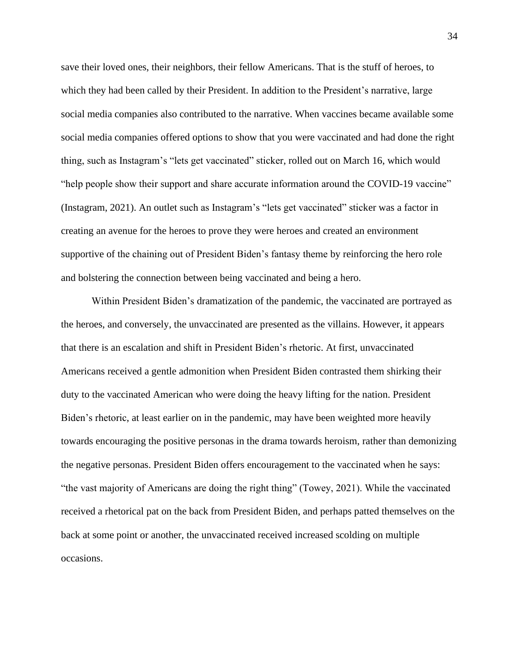save their loved ones, their neighbors, their fellow Americans. That is the stuff of heroes, to which they had been called by their President. In addition to the President's narrative, large social media companies also contributed to the narrative. When vaccines became available some social media companies offered options to show that you were vaccinated and had done the right thing, such as Instagram's "lets get vaccinated" sticker, rolled out on March 16, which would "help people show their support and share accurate information around the COVID-19 vaccine" (Instagram, 2021). An outlet such as Instagram's "lets get vaccinated" sticker was a factor in creating an avenue for the heroes to prove they were heroes and created an environment supportive of the chaining out of President Biden's fantasy theme by reinforcing the hero role and bolstering the connection between being vaccinated and being a hero.

Within President Biden's dramatization of the pandemic, the vaccinated are portrayed as the heroes, and conversely, the unvaccinated are presented as the villains. However, it appears that there is an escalation and shift in President Biden's rhetoric. At first, unvaccinated Americans received a gentle admonition when President Biden contrasted them shirking their duty to the vaccinated American who were doing the heavy lifting for the nation. President Biden's rhetoric, at least earlier on in the pandemic, may have been weighted more heavily towards encouraging the positive personas in the drama towards heroism, rather than demonizing the negative personas. President Biden offers encouragement to the vaccinated when he says: "the vast majority of Americans are doing the right thing" (Towey, 2021). While the vaccinated received a rhetorical pat on the back from President Biden, and perhaps patted themselves on the back at some point or another, the unvaccinated received increased scolding on multiple occasions.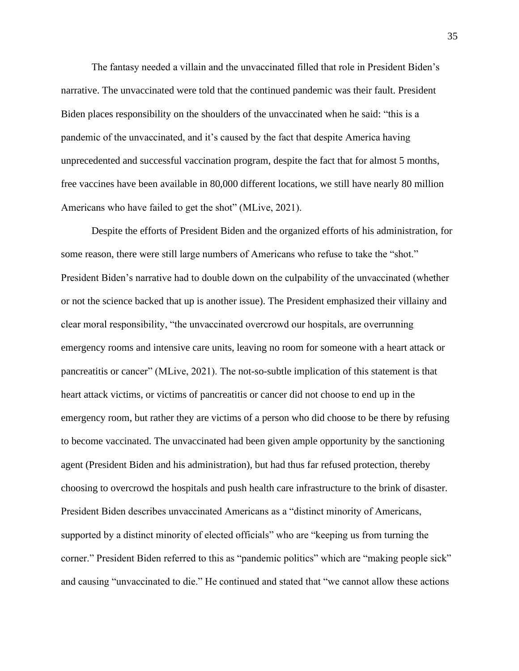The fantasy needed a villain and the unvaccinated filled that role in President Biden's narrative. The unvaccinated were told that the continued pandemic was their fault. President Biden places responsibility on the shoulders of the unvaccinated when he said: "this is a pandemic of the unvaccinated, and it's caused by the fact that despite America having unprecedented and successful vaccination program, despite the fact that for almost 5 months, free vaccines have been available in 80,000 different locations, we still have nearly 80 million Americans who have failed to get the shot" (MLive, 2021).

Despite the efforts of President Biden and the organized efforts of his administration, for some reason, there were still large numbers of Americans who refuse to take the "shot." President Biden's narrative had to double down on the culpability of the unvaccinated (whether or not the science backed that up is another issue). The President emphasized their villainy and clear moral responsibility, "the unvaccinated overcrowd our hospitals, are overrunning emergency rooms and intensive care units, leaving no room for someone with a heart attack or pancreatitis or cancer" (MLive, 2021). The not-so-subtle implication of this statement is that heart attack victims, or victims of pancreatitis or cancer did not choose to end up in the emergency room, but rather they are victims of a person who did choose to be there by refusing to become vaccinated. The unvaccinated had been given ample opportunity by the sanctioning agent (President Biden and his administration), but had thus far refused protection, thereby choosing to overcrowd the hospitals and push health care infrastructure to the brink of disaster. President Biden describes unvaccinated Americans as a "distinct minority of Americans, supported by a distinct minority of elected officials" who are "keeping us from turning the corner." President Biden referred to this as "pandemic politics" which are "making people sick" and causing "unvaccinated to die." He continued and stated that "we cannot allow these actions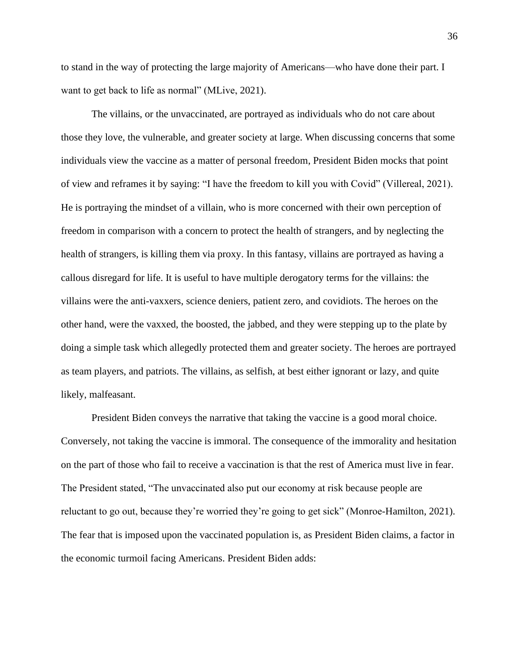to stand in the way of protecting the large majority of Americans—who have done their part. I want to get back to life as normal" (MLive, 2021).

The villains, or the unvaccinated, are portrayed as individuals who do not care about those they love, the vulnerable, and greater society at large. When discussing concerns that some individuals view the vaccine as a matter of personal freedom, President Biden mocks that point of view and reframes it by saying: "I have the freedom to kill you with Covid" (Villereal, 2021). He is portraying the mindset of a villain, who is more concerned with their own perception of freedom in comparison with a concern to protect the health of strangers, and by neglecting the health of strangers, is killing them via proxy. In this fantasy, villains are portrayed as having a callous disregard for life. It is useful to have multiple derogatory terms for the villains: the villains were the anti-vaxxers, science deniers, patient zero, and covidiots. The heroes on the other hand, were the vaxxed, the boosted, the jabbed, and they were stepping up to the plate by doing a simple task which allegedly protected them and greater society. The heroes are portrayed as team players, and patriots. The villains, as selfish, at best either ignorant or lazy, and quite likely, malfeasant.

President Biden conveys the narrative that taking the vaccine is a good moral choice. Conversely, not taking the vaccine is immoral. The consequence of the immorality and hesitation on the part of those who fail to receive a vaccination is that the rest of America must live in fear. The President stated, "The unvaccinated also put our economy at risk because people are reluctant to go out, because they're worried they're going to get sick" (Monroe-Hamilton, 2021). The fear that is imposed upon the vaccinated population is, as President Biden claims, a factor in the economic turmoil facing Americans. President Biden adds: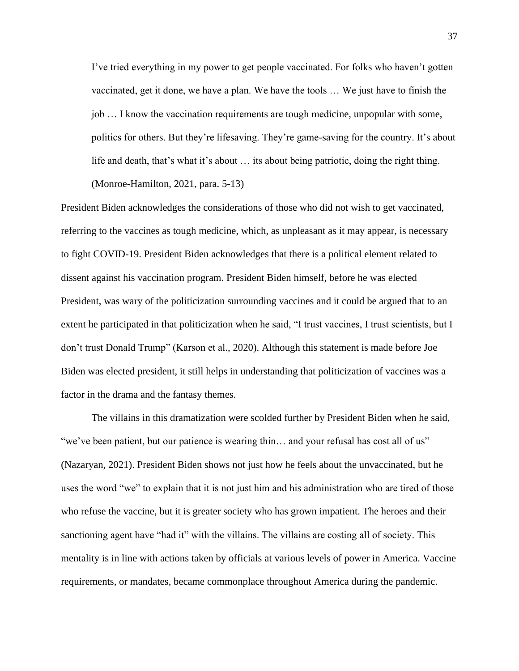I've tried everything in my power to get people vaccinated. For folks who haven't gotten vaccinated, get it done, we have a plan. We have the tools … We just have to finish the job … I know the vaccination requirements are tough medicine, unpopular with some, politics for others. But they're lifesaving. They're game-saving for the country. It's about life and death, that's what it's about … its about being patriotic, doing the right thing. (Monroe-Hamilton, 2021, para. 5-13)

President Biden acknowledges the considerations of those who did not wish to get vaccinated, referring to the vaccines as tough medicine, which, as unpleasant as it may appear, is necessary to fight COVID-19. President Biden acknowledges that there is a political element related to dissent against his vaccination program. President Biden himself, before he was elected President, was wary of the politicization surrounding vaccines and it could be argued that to an extent he participated in that politicization when he said, "I trust vaccines, I trust scientists, but I don't trust Donald Trump" (Karson et al., 2020). Although this statement is made before Joe Biden was elected president, it still helps in understanding that politicization of vaccines was a factor in the drama and the fantasy themes.

The villains in this dramatization were scolded further by President Biden when he said, "we've been patient, but our patience is wearing thin… and your refusal has cost all of us" (Nazaryan, 2021). President Biden shows not just how he feels about the unvaccinated, but he uses the word "we" to explain that it is not just him and his administration who are tired of those who refuse the vaccine, but it is greater society who has grown impatient. The heroes and their sanctioning agent have "had it" with the villains. The villains are costing all of society. This mentality is in line with actions taken by officials at various levels of power in America. Vaccine requirements, or mandates, became commonplace throughout America during the pandemic.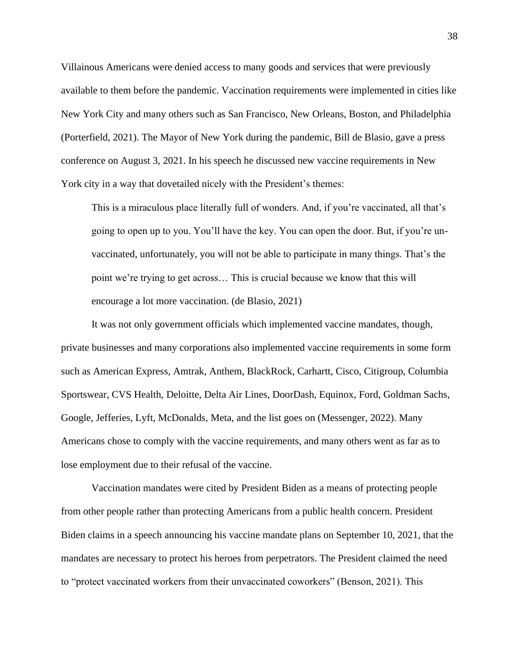Villainous Americans were denied access to many goods and services that were previously available to them before the pandemic. Vaccination requirements were implemented in cities like New York City and many others such as San Francisco, New Orleans, Boston, and Philadelphia (Porterfield, 2021). The Mayor of New York during the pandemic, Bill de Blasio, gave a press conference on August 3, 2021. In his speech he discussed new vaccine requirements in New York city in a way that dovetailed nicely with the President's themes:

This is a miraculous place literally full of wonders. And, if you're vaccinated, all that's going to open up to you. You'll have the key. You can open the door. But, if you're unvaccinated, unfortunately, you will not be able to participate in many things. That's the point we're trying to get across… This is crucial because we know that this will encourage a lot more vaccination. (de Blasio, 2021)

It was not only government officials which implemented vaccine mandates, though, private businesses and many corporations also implemented vaccine requirements in some form such as American Express, Amtrak, Anthem, BlackRock, Carhartt, Cisco, Citigroup, Columbia Sportswear, CVS Health, Deloitte, Delta Air Lines, DoorDash, Equinox, Ford, Goldman Sachs, Google, Jefferies, Lyft, McDonalds, Meta, and the list goes on (Messenger, 2022). Many Americans chose to comply with the vaccine requirements, and many others went as far as to lose employment due to their refusal of the vaccine.

Vaccination mandates were cited by President Biden as a means of protecting people from other people rather than protecting Americans from a public health concern. President Biden claims in a speech announcing his vaccine mandate plans on September 10, 2021, that the mandates are necessary to protect his heroes from perpetrators. The President claimed the need to "protect vaccinated workers from their unvaccinated coworkers" (Benson, 2021). This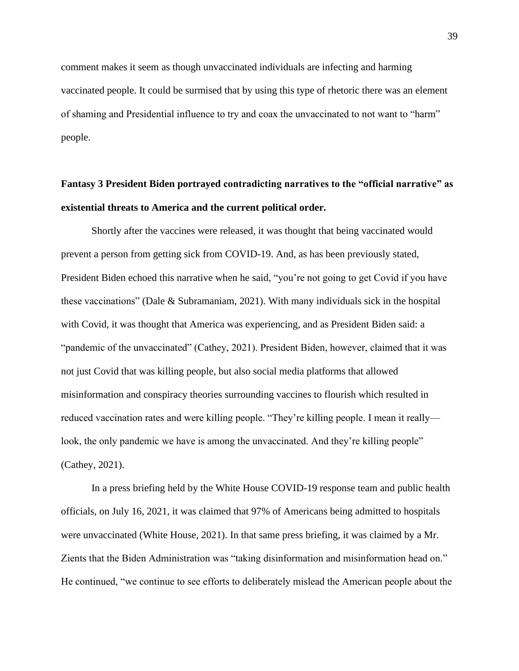comment makes it seem as though unvaccinated individuals are infecting and harming vaccinated people. It could be surmised that by using this type of rhetoric there was an element of shaming and Presidential influence to try and coax the unvaccinated to not want to "harm" people.

# **Fantasy 3 President Biden portrayed contradicting narratives to the "official narrative" as existential threats to America and the current political order.**

Shortly after the vaccines were released, it was thought that being vaccinated would prevent a person from getting sick from COVID-19. And, as has been previously stated, President Biden echoed this narrative when he said, "you're not going to get Covid if you have these vaccinations" (Dale & Subramaniam, 2021). With many individuals sick in the hospital with Covid, it was thought that America was experiencing, and as President Biden said: a "pandemic of the unvaccinated" (Cathey, 2021). President Biden, however, claimed that it was not just Covid that was killing people, but also social media platforms that allowed misinformation and conspiracy theories surrounding vaccines to flourish which resulted in reduced vaccination rates and were killing people. "They're killing people. I mean it really look, the only pandemic we have is among the unvaccinated. And they're killing people" (Cathey, 2021).

In a press briefing held by the White House COVID-19 response team and public health officials, on July 16, 2021, it was claimed that 97% of Americans being admitted to hospitals were unvaccinated (White House, 2021). In that same press briefing, it was claimed by a Mr. Zients that the Biden Administration was "taking disinformation and misinformation head on." He continued, "we continue to see efforts to deliberately mislead the American people about the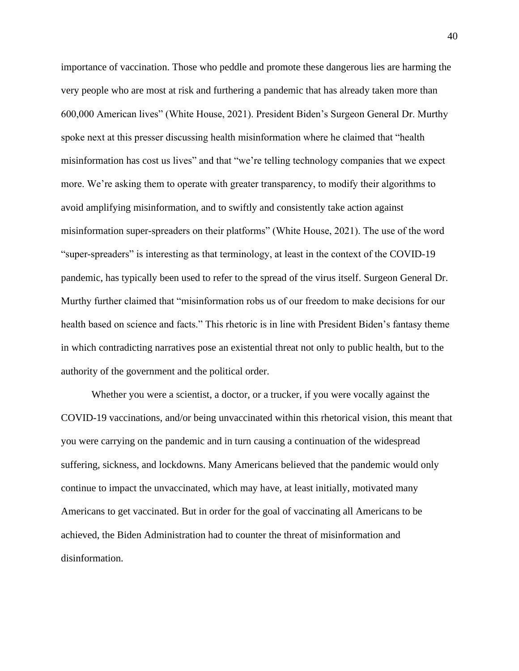importance of vaccination. Those who peddle and promote these dangerous lies are harming the very people who are most at risk and furthering a pandemic that has already taken more than 600,000 American lives" (White House, 2021). President Biden's Surgeon General Dr. Murthy spoke next at this presser discussing health misinformation where he claimed that "health misinformation has cost us lives" and that "we're telling technology companies that we expect more. We're asking them to operate with greater transparency, to modify their algorithms to avoid amplifying misinformation, and to swiftly and consistently take action against misinformation super-spreaders on their platforms" (White House, 2021). The use of the word "super-spreaders" is interesting as that terminology, at least in the context of the COVID-19 pandemic, has typically been used to refer to the spread of the virus itself. Surgeon General Dr. Murthy further claimed that "misinformation robs us of our freedom to make decisions for our health based on science and facts." This rhetoric is in line with President Biden's fantasy theme in which contradicting narratives pose an existential threat not only to public health, but to the authority of the government and the political order.

Whether you were a scientist, a doctor, or a trucker, if you were vocally against the COVID-19 vaccinations, and/or being unvaccinated within this rhetorical vision, this meant that you were carrying on the pandemic and in turn causing a continuation of the widespread suffering, sickness, and lockdowns. Many Americans believed that the pandemic would only continue to impact the unvaccinated, which may have, at least initially, motivated many Americans to get vaccinated. But in order for the goal of vaccinating all Americans to be achieved, the Biden Administration had to counter the threat of misinformation and disinformation.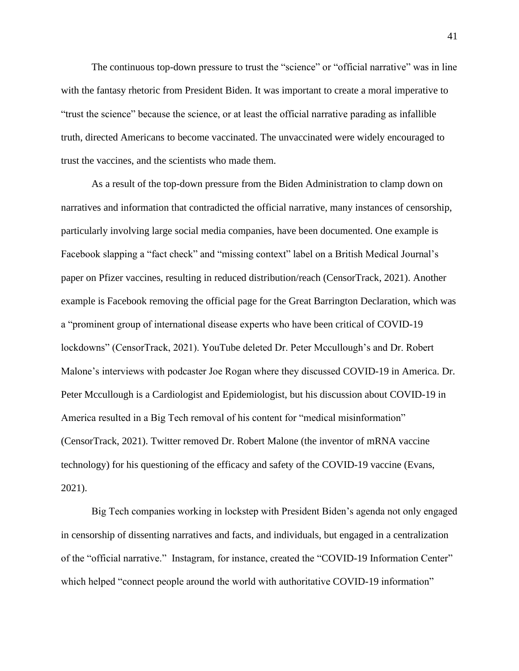The continuous top-down pressure to trust the "science" or "official narrative" was in line with the fantasy rhetoric from President Biden. It was important to create a moral imperative to "trust the science" because the science, or at least the official narrative parading as infallible truth, directed Americans to become vaccinated. The unvaccinated were widely encouraged to trust the vaccines, and the scientists who made them.

As a result of the top-down pressure from the Biden Administration to clamp down on narratives and information that contradicted the official narrative, many instances of censorship, particularly involving large social media companies, have been documented. One example is Facebook slapping a "fact check" and "missing context" label on a British Medical Journal's paper on Pfizer vaccines, resulting in reduced distribution/reach (CensorTrack, 2021). Another example is Facebook removing the official page for the Great Barrington Declaration, which was a "prominent group of international disease experts who have been critical of COVID-19 lockdowns" (CensorTrack, 2021). YouTube deleted Dr. Peter Mccullough's and Dr. Robert Malone's interviews with podcaster Joe Rogan where they discussed COVID-19 in America. Dr. Peter Mccullough is a Cardiologist and Epidemiologist, but his discussion about COVID-19 in America resulted in a Big Tech removal of his content for "medical misinformation" (CensorTrack, 2021). Twitter removed Dr. Robert Malone (the inventor of mRNA vaccine technology) for his questioning of the efficacy and safety of the COVID-19 vaccine (Evans, 2021).

Big Tech companies working in lockstep with President Biden's agenda not only engaged in censorship of dissenting narratives and facts, and individuals, but engaged in a centralization of the "official narrative." Instagram, for instance, created the "COVID-19 Information Center" which helped "connect people around the world with authoritative COVID-19 information"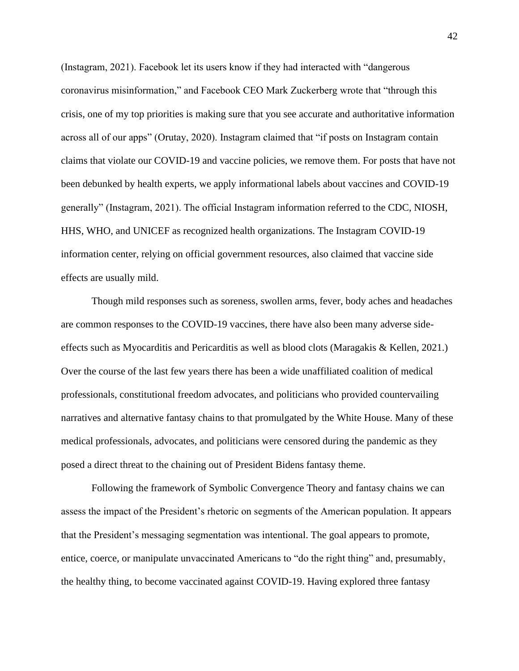(Instagram, 2021). Facebook let its users know if they had interacted with "dangerous coronavirus misinformation," and Facebook CEO Mark Zuckerberg wrote that "through this crisis, one of my top priorities is making sure that you see accurate and authoritative information across all of our apps" (Orutay, 2020). Instagram claimed that "if posts on Instagram contain claims that violate our COVID-19 and vaccine policies, we remove them. For posts that have not been debunked by health experts, we apply informational labels about vaccines and COVID-19 generally" (Instagram, 2021). The official Instagram information referred to the CDC, NIOSH, HHS, WHO, and UNICEF as recognized health organizations. The Instagram COVID-19 information center, relying on official government resources, also claimed that vaccine side effects are usually mild.

Though mild responses such as soreness, swollen arms, fever, body aches and headaches are common responses to the COVID-19 vaccines, there have also been many adverse sideeffects such as Myocarditis and Pericarditis as well as blood clots (Maragakis & Kellen, 2021.) Over the course of the last few years there has been a wide unaffiliated coalition of medical professionals, constitutional freedom advocates, and politicians who provided countervailing narratives and alternative fantasy chains to that promulgated by the White House. Many of these medical professionals, advocates, and politicians were censored during the pandemic as they posed a direct threat to the chaining out of President Bidens fantasy theme.

Following the framework of Symbolic Convergence Theory and fantasy chains we can assess the impact of the President's rhetoric on segments of the American population. It appears that the President's messaging segmentation was intentional. The goal appears to promote, entice, coerce, or manipulate unvaccinated Americans to "do the right thing" and, presumably, the healthy thing, to become vaccinated against COVID-19. Having explored three fantasy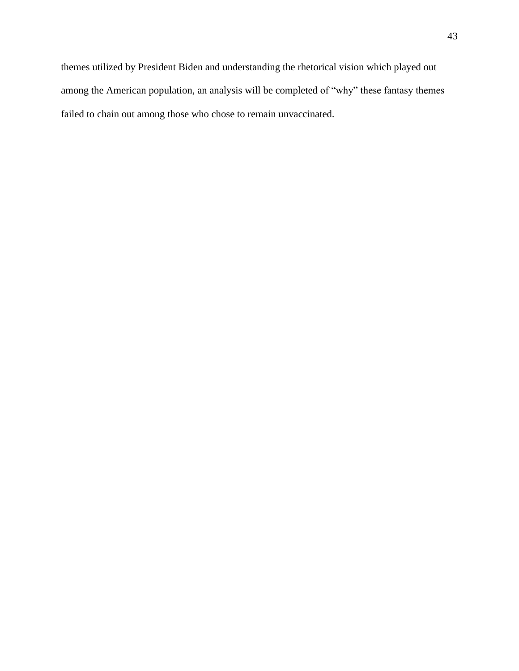themes utilized by President Biden and understanding the rhetorical vision which played out among the American population, an analysis will be completed of "why" these fantasy themes failed to chain out among those who chose to remain unvaccinated.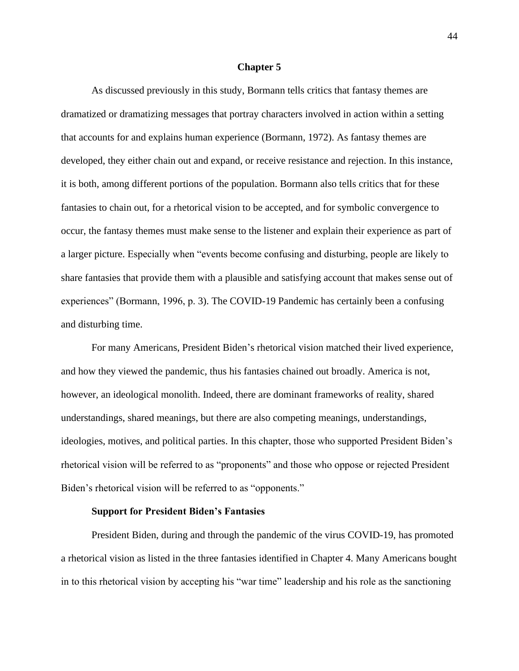### **Chapter 5**

As discussed previously in this study, Bormann tells critics that fantasy themes are dramatized or dramatizing messages that portray characters involved in action within a setting that accounts for and explains human experience (Bormann, 1972). As fantasy themes are developed, they either chain out and expand, or receive resistance and rejection. In this instance, it is both, among different portions of the population. Bormann also tells critics that for these fantasies to chain out, for a rhetorical vision to be accepted, and for symbolic convergence to occur, the fantasy themes must make sense to the listener and explain their experience as part of a larger picture. Especially when "events become confusing and disturbing, people are likely to share fantasies that provide them with a plausible and satisfying account that makes sense out of experiences" (Bormann, 1996, p. 3). The COVID-19 Pandemic has certainly been a confusing and disturbing time.

For many Americans, President Biden's rhetorical vision matched their lived experience, and how they viewed the pandemic, thus his fantasies chained out broadly. America is not, however, an ideological monolith. Indeed, there are dominant frameworks of reality, shared understandings, shared meanings, but there are also competing meanings, understandings, ideologies, motives, and political parties. In this chapter, those who supported President Biden's rhetorical vision will be referred to as "proponents" and those who oppose or rejected President Biden's rhetorical vision will be referred to as "opponents."

### **Support for President Biden's Fantasies**

President Biden, during and through the pandemic of the virus COVID-19, has promoted a rhetorical vision as listed in the three fantasies identified in Chapter 4. Many Americans bought in to this rhetorical vision by accepting his "war time" leadership and his role as the sanctioning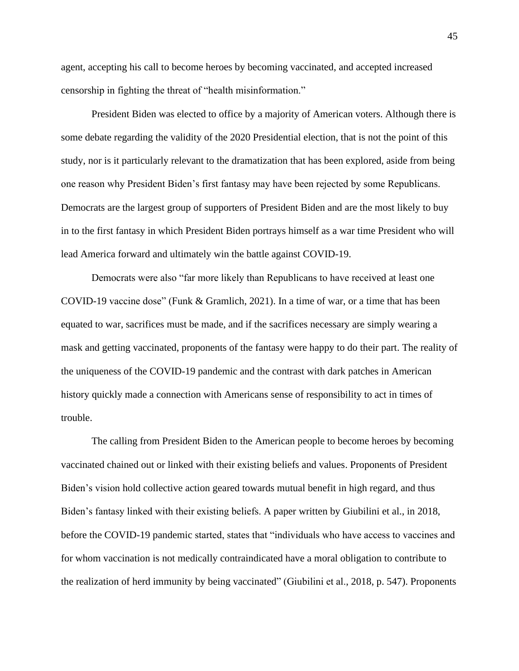agent, accepting his call to become heroes by becoming vaccinated, and accepted increased censorship in fighting the threat of "health misinformation."

President Biden was elected to office by a majority of American voters. Although there is some debate regarding the validity of the 2020 Presidential election, that is not the point of this study, nor is it particularly relevant to the dramatization that has been explored, aside from being one reason why President Biden's first fantasy may have been rejected by some Republicans. Democrats are the largest group of supporters of President Biden and are the most likely to buy in to the first fantasy in which President Biden portrays himself as a war time President who will lead America forward and ultimately win the battle against COVID-19.

Democrats were also "far more likely than Republicans to have received at least one COVID-19 vaccine dose" (Funk & Gramlich, 2021). In a time of war, or a time that has been equated to war, sacrifices must be made, and if the sacrifices necessary are simply wearing a mask and getting vaccinated, proponents of the fantasy were happy to do their part. The reality of the uniqueness of the COVID-19 pandemic and the contrast with dark patches in American history quickly made a connection with Americans sense of responsibility to act in times of trouble.

The calling from President Biden to the American people to become heroes by becoming vaccinated chained out or linked with their existing beliefs and values. Proponents of President Biden's vision hold collective action geared towards mutual benefit in high regard, and thus Biden's fantasy linked with their existing beliefs. A paper written by Giubilini et al., in 2018, before the COVID-19 pandemic started, states that "individuals who have access to vaccines and for whom vaccination is not medically contraindicated have a moral obligation to contribute to the realization of herd immunity by being vaccinated" (Giubilini et al., 2018, p. 547). Proponents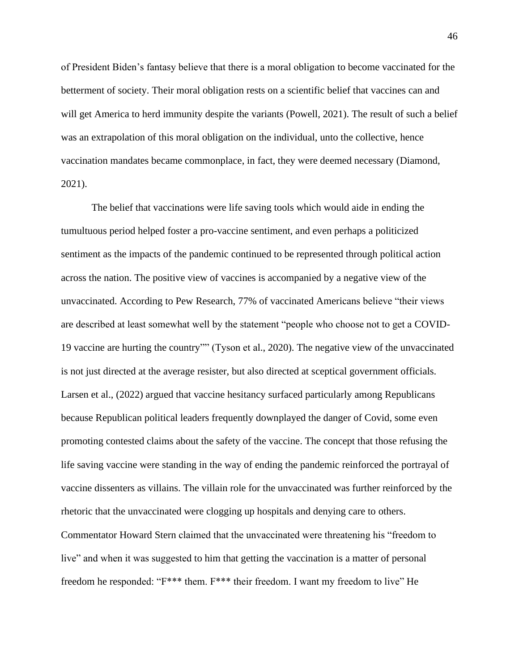of President Biden's fantasy believe that there is a moral obligation to become vaccinated for the betterment of society. Their moral obligation rests on a scientific belief that vaccines can and will get America to herd immunity despite the variants (Powell, 2021). The result of such a belief was an extrapolation of this moral obligation on the individual, unto the collective, hence vaccination mandates became commonplace, in fact, they were deemed necessary (Diamond, 2021).

The belief that vaccinations were life saving tools which would aide in ending the tumultuous period helped foster a pro-vaccine sentiment, and even perhaps a politicized sentiment as the impacts of the pandemic continued to be represented through political action across the nation. The positive view of vaccines is accompanied by a negative view of the unvaccinated. According to Pew Research, 77% of vaccinated Americans believe "their views are described at least somewhat well by the statement "people who choose not to get a COVID-19 vaccine are hurting the country"" (Tyson et al., 2020). The negative view of the unvaccinated is not just directed at the average resister, but also directed at sceptical government officials. Larsen et al., (2022) argued that vaccine hesitancy surfaced particularly among Republicans because Republican political leaders frequently downplayed the danger of Covid, some even promoting contested claims about the safety of the vaccine. The concept that those refusing the life saving vaccine were standing in the way of ending the pandemic reinforced the portrayal of vaccine dissenters as villains. The villain role for the unvaccinated was further reinforced by the rhetoric that the unvaccinated were clogging up hospitals and denying care to others. Commentator Howard Stern claimed that the unvaccinated were threatening his "freedom to live" and when it was suggested to him that getting the vaccination is a matter of personal freedom he responded: "F\*\*\* them. F\*\*\* their freedom. I want my freedom to live" He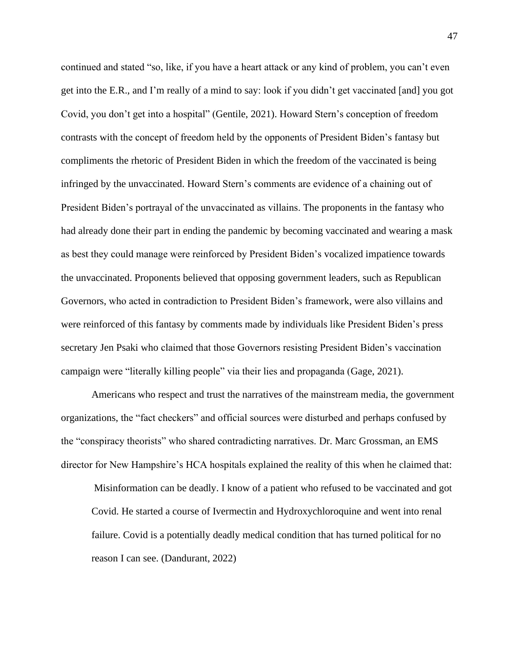continued and stated "so, like, if you have a heart attack or any kind of problem, you can't even get into the E.R., and I'm really of a mind to say: look if you didn't get vaccinated [and] you got Covid, you don't get into a hospital" (Gentile, 2021). Howard Stern's conception of freedom contrasts with the concept of freedom held by the opponents of President Biden's fantasy but compliments the rhetoric of President Biden in which the freedom of the vaccinated is being infringed by the unvaccinated. Howard Stern's comments are evidence of a chaining out of President Biden's portrayal of the unvaccinated as villains. The proponents in the fantasy who had already done their part in ending the pandemic by becoming vaccinated and wearing a mask as best they could manage were reinforced by President Biden's vocalized impatience towards the unvaccinated. Proponents believed that opposing government leaders, such as Republican Governors, who acted in contradiction to President Biden's framework, were also villains and were reinforced of this fantasy by comments made by individuals like President Biden's press secretary Jen Psaki who claimed that those Governors resisting President Biden's vaccination campaign were "literally killing people" via their lies and propaganda (Gage, 2021).

Americans who respect and trust the narratives of the mainstream media, the government organizations, the "fact checkers" and official sources were disturbed and perhaps confused by the "conspiracy theorists" who shared contradicting narratives. Dr. Marc Grossman, an EMS director for New Hampshire's HCA hospitals explained the reality of this when he claimed that:

Misinformation can be deadly. I know of a patient who refused to be vaccinated and got Covid. He started a course of Ivermectin and Hydroxychloroquine and went into renal failure. Covid is a potentially deadly medical condition that has turned political for no reason I can see. (Dandurant, 2022)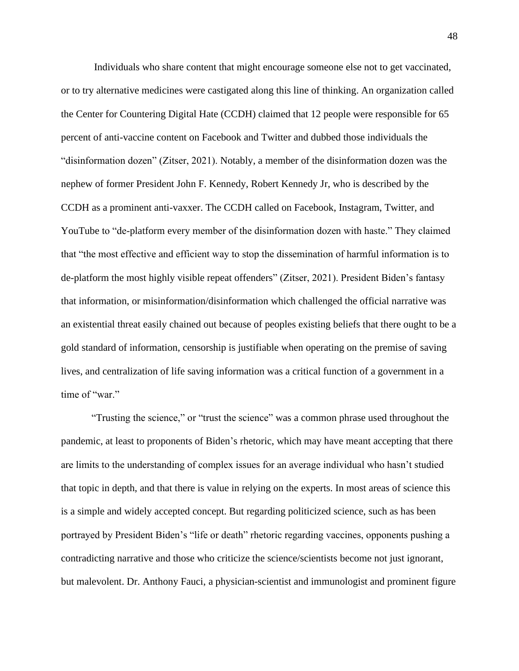Individuals who share content that might encourage someone else not to get vaccinated, or to try alternative medicines were castigated along this line of thinking. An organization called the Center for Countering Digital Hate (CCDH) claimed that 12 people were responsible for 65 percent of anti-vaccine content on Facebook and Twitter and dubbed those individuals the "disinformation dozen" (Zitser, 2021). Notably, a member of the disinformation dozen was the nephew of former President John F. Kennedy, Robert Kennedy Jr, who is described by the CCDH as a prominent anti-vaxxer. The CCDH called on Facebook, Instagram, Twitter, and YouTube to "de-platform every member of the disinformation dozen with haste." They claimed that "the most effective and efficient way to stop the dissemination of harmful information is to de-platform the most highly visible repeat offenders" (Zitser, 2021). President Biden's fantasy that information, or misinformation/disinformation which challenged the official narrative was an existential threat easily chained out because of peoples existing beliefs that there ought to be a gold standard of information, censorship is justifiable when operating on the premise of saving lives, and centralization of life saving information was a critical function of a government in a time of "war."

"Trusting the science," or "trust the science" was a common phrase used throughout the pandemic, at least to proponents of Biden's rhetoric, which may have meant accepting that there are limits to the understanding of complex issues for an average individual who hasn't studied that topic in depth, and that there is value in relying on the experts. In most areas of science this is a simple and widely accepted concept. But regarding politicized science, such as has been portrayed by President Biden's "life or death" rhetoric regarding vaccines, opponents pushing a contradicting narrative and those who criticize the science/scientists become not just ignorant, but malevolent. Dr. Anthony Fauci, a physician-scientist and immunologist and prominent figure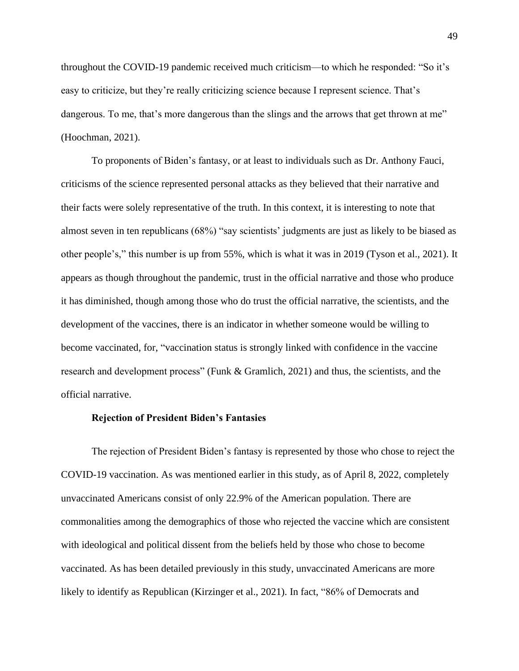throughout the COVID-19 pandemic received much criticism—to which he responded: "So it's easy to criticize, but they're really criticizing science because I represent science. That's dangerous. To me, that's more dangerous than the slings and the arrows that get thrown at me" (Hoochman, 2021).

To proponents of Biden's fantasy, or at least to individuals such as Dr. Anthony Fauci, criticisms of the science represented personal attacks as they believed that their narrative and their facts were solely representative of the truth. In this context, it is interesting to note that almost seven in ten republicans (68%) "say scientists' judgments are just as likely to be biased as other people's," this number is up from 55%, which is what it was in 2019 (Tyson et al., 2021). It appears as though throughout the pandemic, trust in the official narrative and those who produce it has diminished, though among those who do trust the official narrative, the scientists, and the development of the vaccines, there is an indicator in whether someone would be willing to become vaccinated, for, "vaccination status is strongly linked with confidence in the vaccine research and development process" (Funk & Gramlich, 2021) and thus, the scientists, and the official narrative.

#### **Rejection of President Biden's Fantasies**

The rejection of President Biden's fantasy is represented by those who chose to reject the COVID-19 vaccination. As was mentioned earlier in this study, as of April 8, 2022, completely unvaccinated Americans consist of only 22.9% of the American population. There are commonalities among the demographics of those who rejected the vaccine which are consistent with ideological and political dissent from the beliefs held by those who chose to become vaccinated. As has been detailed previously in this study, unvaccinated Americans are more likely to identify as Republican (Kirzinger et al., 2021). In fact, "86% of Democrats and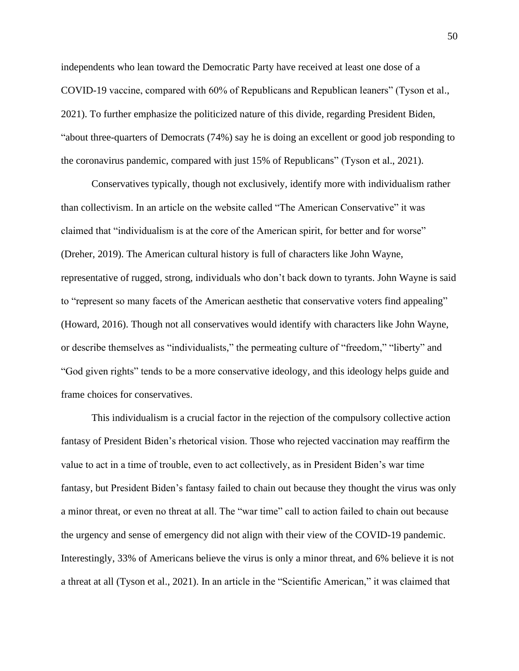independents who lean toward the Democratic Party have received at least one dose of a COVID-19 vaccine, compared with 60% of Republicans and Republican leaners" (Tyson et al., 2021). To further emphasize the politicized nature of this divide, regarding President Biden, "about three-quarters of Democrats (74%) say he is doing an excellent or good job responding to the coronavirus pandemic, compared with just 15% of Republicans" (Tyson et al., 2021).

Conservatives typically, though not exclusively, identify more with individualism rather than collectivism. In an article on the website called "The American Conservative" it was claimed that "individualism is at the core of the American spirit, for better and for worse" (Dreher, 2019). The American cultural history is full of characters like John Wayne, representative of rugged, strong, individuals who don't back down to tyrants. John Wayne is said to "represent so many facets of the American aesthetic that conservative voters find appealing" (Howard, 2016). Though not all conservatives would identify with characters like John Wayne, or describe themselves as "individualists," the permeating culture of "freedom," "liberty" and "God given rights" tends to be a more conservative ideology, and this ideology helps guide and frame choices for conservatives.

This individualism is a crucial factor in the rejection of the compulsory collective action fantasy of President Biden's rhetorical vision. Those who rejected vaccination may reaffirm the value to act in a time of trouble, even to act collectively, as in President Biden's war time fantasy, but President Biden's fantasy failed to chain out because they thought the virus was only a minor threat, or even no threat at all. The "war time" call to action failed to chain out because the urgency and sense of emergency did not align with their view of the COVID-19 pandemic. Interestingly, 33% of Americans believe the virus is only a minor threat, and 6% believe it is not a threat at all (Tyson et al., 2021). In an article in the "Scientific American," it was claimed that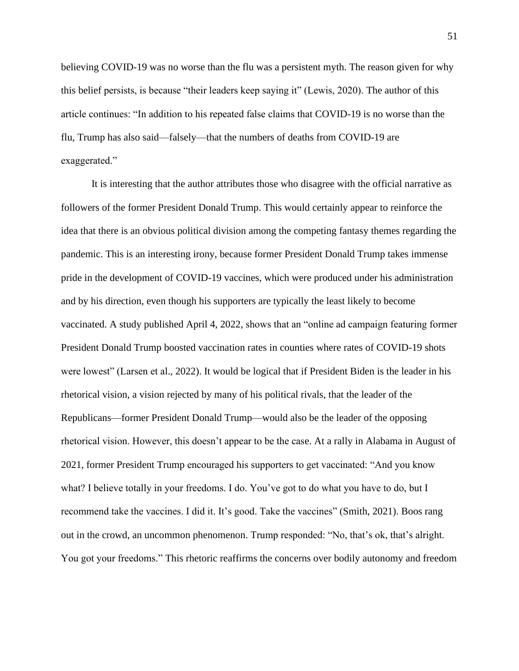believing COVID-19 was no worse than the flu was a persistent myth. The reason given for why this belief persists, is because "their leaders keep saying it" (Lewis, 2020). The author of this article continues: "In addition to his repeated false claims that COVID-19 is no worse than the flu, Trump has also said—falsely—that the numbers of deaths from COVID-19 are exaggerated."

It is interesting that the author attributes those who disagree with the official narrative as followers of the former President Donald Trump. This would certainly appear to reinforce the idea that there is an obvious political division among the competing fantasy themes regarding the pandemic. This is an interesting irony, because former President Donald Trump takes immense pride in the development of COVID-19 vaccines, which were produced under his administration and by his direction, even though his supporters are typically the least likely to become vaccinated. A study published April 4, 2022, shows that an "online ad campaign featuring former President Donald Trump boosted vaccination rates in counties where rates of COVID-19 shots were lowest" (Larsen et al., 2022). It would be logical that if President Biden is the leader in his rhetorical vision, a vision rejected by many of his political rivals, that the leader of the Republicans—former President Donald Trump—would also be the leader of the opposing rhetorical vision. However, this doesn't appear to be the case. At a rally in Alabama in August of 2021, former President Trump encouraged his supporters to get vaccinated: "And you know what? I believe totally in your freedoms. I do. You've got to do what you have to do, but I recommend take the vaccines. I did it. It's good. Take the vaccines" (Smith, 2021). Boos rang out in the crowd, an uncommon phenomenon. Trump responded: "No, that's ok, that's alright. You got your freedoms." This rhetoric reaffirms the concerns over bodily autonomy and freedom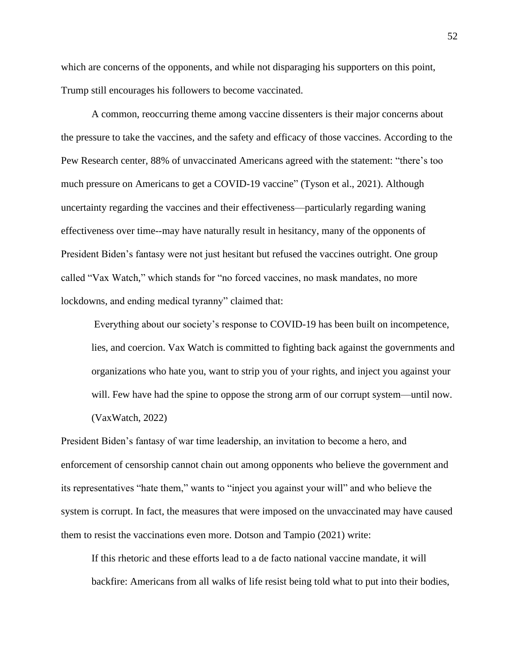which are concerns of the opponents, and while not disparaging his supporters on this point, Trump still encourages his followers to become vaccinated.

A common, reoccurring theme among vaccine dissenters is their major concerns about the pressure to take the vaccines, and the safety and efficacy of those vaccines. According to the Pew Research center, 88% of unvaccinated Americans agreed with the statement: "there's too much pressure on Americans to get a COVID-19 vaccine" (Tyson et al., 2021). Although uncertainty regarding the vaccines and their effectiveness—particularly regarding waning effectiveness over time--may have naturally result in hesitancy, many of the opponents of President Biden's fantasy were not just hesitant but refused the vaccines outright. One group called "Vax Watch," which stands for "no forced vaccines, no mask mandates, no more lockdowns, and ending medical tyranny" claimed that:

Everything about our society's response to COVID-19 has been built on incompetence, lies, and coercion. Vax Watch is committed to fighting back against the governments and organizations who hate you, want to strip you of your rights, and inject you against your will. Few have had the spine to oppose the strong arm of our corrupt system—until now. (VaxWatch, 2022)

President Biden's fantasy of war time leadership, an invitation to become a hero, and enforcement of censorship cannot chain out among opponents who believe the government and its representatives "hate them," wants to "inject you against your will" and who believe the system is corrupt. In fact, the measures that were imposed on the unvaccinated may have caused them to resist the vaccinations even more. Dotson and Tampio (2021) write:

If this rhetoric and these efforts lead to a de facto national vaccine mandate, it will backfire: Americans from all walks of life resist being told what to put into their bodies,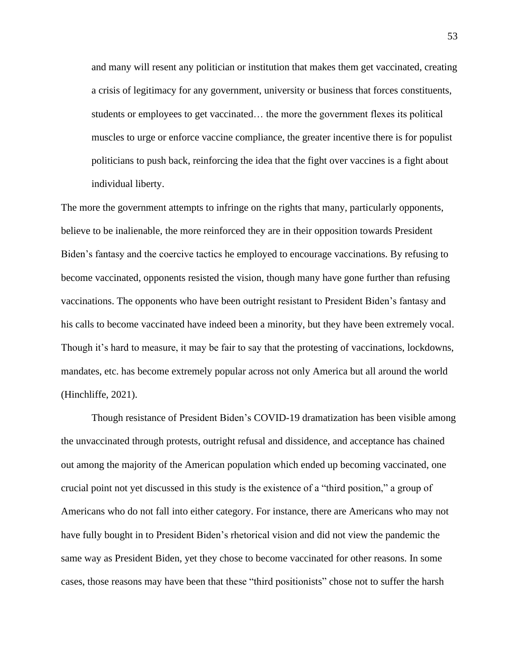and many will resent any politician or institution that makes them get vaccinated, creating a crisis of legitimacy for any government, university or business that forces constituents, students or employees to get vaccinated… the more the government flexes its political muscles to urge or enforce vaccine compliance, the greater incentive there is for populist politicians to push back, reinforcing the idea that the fight over vaccines is a fight about individual liberty.

The more the government attempts to infringe on the rights that many, particularly opponents, believe to be inalienable, the more reinforced they are in their opposition towards President Biden's fantasy and the coercive tactics he employed to encourage vaccinations. By refusing to become vaccinated, opponents resisted the vision, though many have gone further than refusing vaccinations. The opponents who have been outright resistant to President Biden's fantasy and his calls to become vaccinated have indeed been a minority, but they have been extremely vocal. Though it's hard to measure, it may be fair to say that the protesting of vaccinations, lockdowns, mandates, etc. has become extremely popular across not only America but all around the world (Hinchliffe, 2021).

Though resistance of President Biden's COVID-19 dramatization has been visible among the unvaccinated through protests, outright refusal and dissidence, and acceptance has chained out among the majority of the American population which ended up becoming vaccinated, one crucial point not yet discussed in this study is the existence of a "third position," a group of Americans who do not fall into either category. For instance, there are Americans who may not have fully bought in to President Biden's rhetorical vision and did not view the pandemic the same way as President Biden, yet they chose to become vaccinated for other reasons. In some cases, those reasons may have been that these "third positionists" chose not to suffer the harsh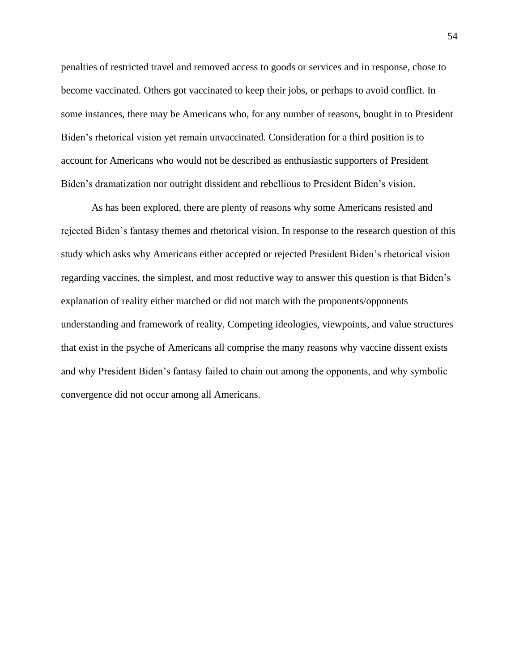penalties of restricted travel and removed access to goods or services and in response, chose to become vaccinated. Others got vaccinated to keep their jobs, or perhaps to avoid conflict. In some instances, there may be Americans who, for any number of reasons, bought in to President Biden's rhetorical vision yet remain unvaccinated. Consideration for a third position is to account for Americans who would not be described as enthusiastic supporters of President Biden's dramatization nor outright dissident and rebellious to President Biden's vision.

As has been explored, there are plenty of reasons why some Americans resisted and rejected Biden's fantasy themes and rhetorical vision. In response to the research question of this study which asks why Americans either accepted or rejected President Biden's rhetorical vision regarding vaccines, the simplest, and most reductive way to answer this question is that Biden's explanation of reality either matched or did not match with the proponents/opponents understanding and framework of reality. Competing ideologies, viewpoints, and value structures that exist in the psyche of Americans all comprise the many reasons why vaccine dissent exists and why President Biden's fantasy failed to chain out among the opponents, and why symbolic convergence did not occur among all Americans.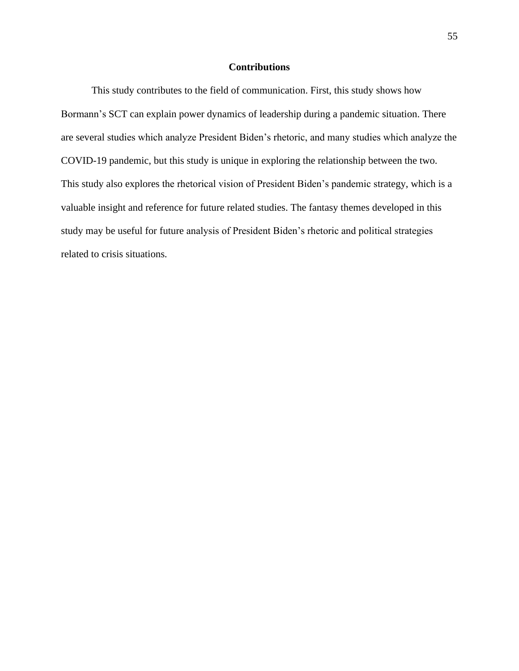# **Contributions**

This study contributes to the field of communication. First, this study shows how Bormann's SCT can explain power dynamics of leadership during a pandemic situation. There are several studies which analyze President Biden's rhetoric, and many studies which analyze the COVID-19 pandemic, but this study is unique in exploring the relationship between the two. This study also explores the rhetorical vision of President Biden's pandemic strategy, which is a valuable insight and reference for future related studies. The fantasy themes developed in this study may be useful for future analysis of President Biden's rhetoric and political strategies related to crisis situations.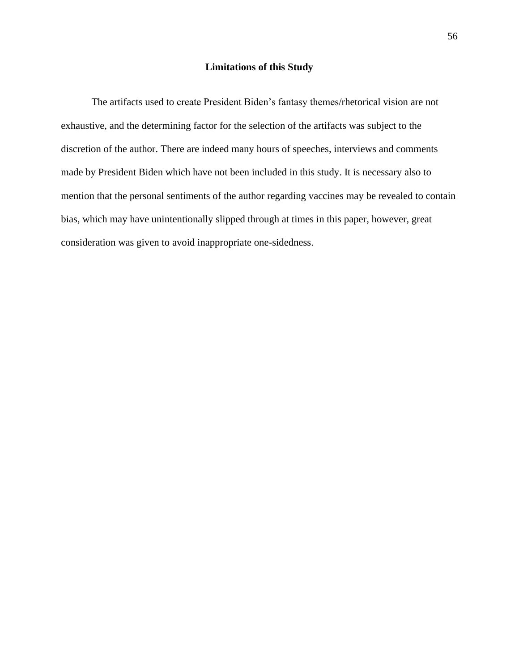# **Limitations of this Study**

The artifacts used to create President Biden's fantasy themes/rhetorical vision are not exhaustive, and the determining factor for the selection of the artifacts was subject to the discretion of the author. There are indeed many hours of speeches, interviews and comments made by President Biden which have not been included in this study. It is necessary also to mention that the personal sentiments of the author regarding vaccines may be revealed to contain bias, which may have unintentionally slipped through at times in this paper, however, great consideration was given to avoid inappropriate one-sidedness.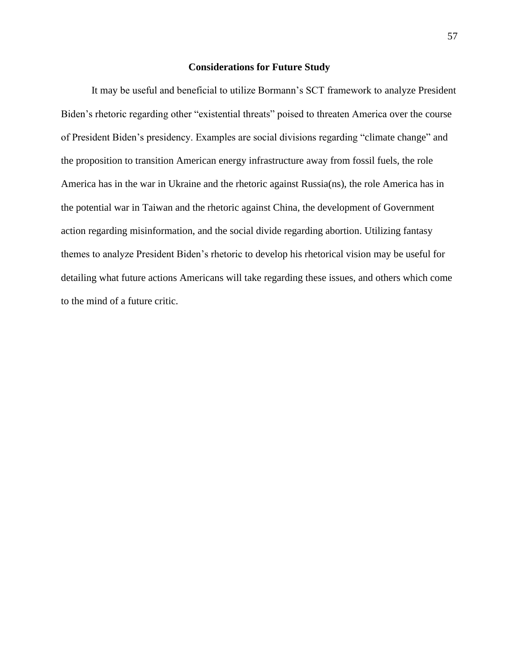# **Considerations for Future Study**

It may be useful and beneficial to utilize Bormann's SCT framework to analyze President Biden's rhetoric regarding other "existential threats" poised to threaten America over the course of President Biden's presidency. Examples are social divisions regarding "climate change" and the proposition to transition American energy infrastructure away from fossil fuels, the role America has in the war in Ukraine and the rhetoric against Russia(ns), the role America has in the potential war in Taiwan and the rhetoric against China, the development of Government action regarding misinformation, and the social divide regarding abortion. Utilizing fantasy themes to analyze President Biden's rhetoric to develop his rhetorical vision may be useful for detailing what future actions Americans will take regarding these issues, and others which come to the mind of a future critic.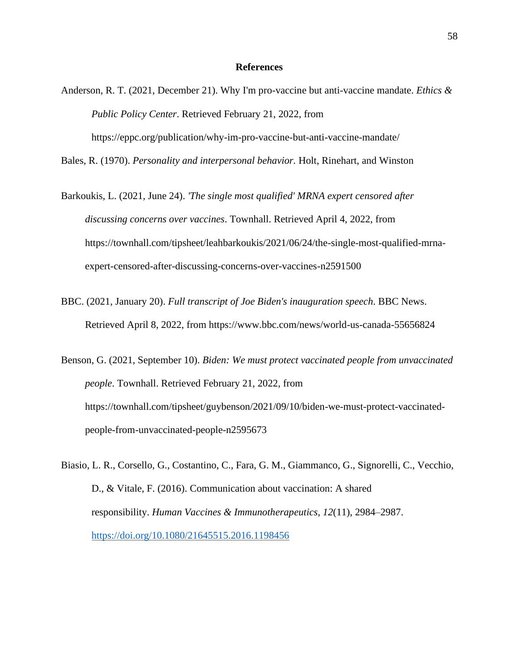# **References**

Anderson, R. T. (2021, December 21). Why I'm pro-vaccine but anti-vaccine mandate. *Ethics & Public Policy Center*. Retrieved February 21, 2022, from https://eppc.org/publication/why-im-pro-vaccine-but-anti-vaccine-mandate/

Bales, R. (1970). *Personality and interpersonal behavior.* Holt, Rinehart, and Winston

- Barkoukis, L. (2021, June 24). *'The single most qualified' MRNA expert censored after discussing concerns over vaccines*. Townhall. Retrieved April 4, 2022, from https://townhall.com/tipsheet/leahbarkoukis/2021/06/24/the-single-most-qualified-mrnaexpert-censored-after-discussing-concerns-over-vaccines-n2591500
- BBC. (2021, January 20). *Full transcript of Joe Biden's inauguration speech*. BBC News. Retrieved April 8, 2022, from https://www.bbc.com/news/world-us-canada-55656824
- Benson, G. (2021, September 10). *Biden: We must protect vaccinated people from unvaccinated people*. Townhall. Retrieved February 21, 2022, from https://townhall.com/tipsheet/guybenson/2021/09/10/biden-we-must-protect-vaccinatedpeople-from-unvaccinated-people-n2595673
- Biasio, L. R., Corsello, G., Costantino, C., Fara, G. M., Giammanco, G., Signorelli, C., Vecchio, D., & Vitale, F. (2016). Communication about vaccination: A shared responsibility. *Human Vaccines & Immunotherapeutics*, *12*(11), 2984–2987. <https://doi.org/10.1080/21645515.2016.1198456>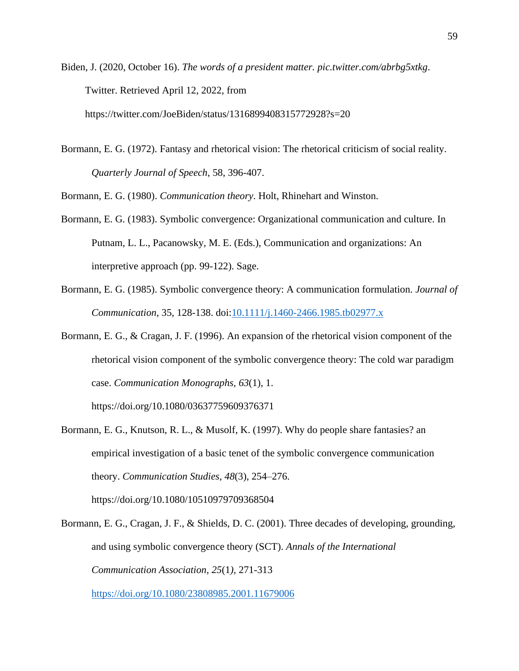Biden, J. (2020, October 16). *The words of a president matter. pic.twitter.com/abrbg5xtkg*. Twitter. Retrieved April 12, 2022, from https://twitter.com/JoeBiden/status/1316899408315772928?s=20

Bormann, E. G. (1972). Fantasy and rhetorical vision: The rhetorical criticism of social reality. *Quarterly Journal of Speech*, 58, 396-407.

Bormann, E. G. (1980). *Communication theory*. Holt, Rhinehart and Winston.

- Bormann, E. G. (1983). Symbolic convergence: Organizational communication and culture. In Putnam, L. L., Pacanowsky, M. E. (Eds.), Communication and organizations: An interpretive approach (pp. 99-122). Sage.
- Bormann, E. G. (1985). Symbolic convergence theory: A communication formulation. *Journal of Communication*, 35, 128-138. doi[:10.1111/j.1460-2466.1985.tb02977.x](https://doi-org.ezproxy.liberty.edu/10.1111/j.1460-2466.1985.tb02977.x)
- Bormann, E. G., & Cragan, J. F. (1996). An expansion of the rhetorical vision component of the rhetorical vision component of the symbolic convergence theory: The cold war paradigm case. *Communication Monographs, 63*(1), 1.

https://doi.org/10.1080/03637759609376371

Bormann, E. G., Knutson, R. L., & Musolf, K. (1997). Why do people share fantasies? an empirical investigation of a basic tenet of the symbolic convergence communication theory. *Communication Studies*, *48*(3), 254–276. https://doi.org/10.1080/10510979709368504

Bormann, E. G., Cragan, J. F., & Shields, D. C. (2001). Three decades of developing, grounding, and using symbolic convergence theory (SCT). *Annals of the International Communication Association, 25*(1*),* 271-313

<https://doi.org/10.1080/23808985.2001.11679006>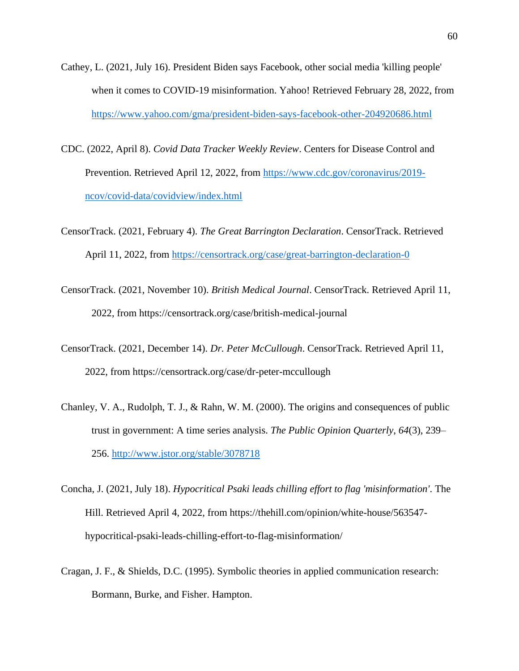- Cathey, L. (2021, July 16). President Biden says Facebook, other social media 'killing people' when it comes to COVID-19 misinformation. Yahoo! Retrieved February 28, 2022, from <https://www.yahoo.com/gma/president-biden-says-facebook-other-204920686.html>
- CDC. (2022, April 8). *Covid Data Tracker Weekly Review*. Centers for Disease Control and Prevention. Retrieved April 12, 2022, from [https://www.cdc.gov/coronavirus/2019](https://www.cdc.gov/coronavirus/2019-ncov/covid-data/covidview/index.html) [ncov/covid-data/covidview/index.html](https://www.cdc.gov/coronavirus/2019-ncov/covid-data/covidview/index.html)
- CensorTrack. (2021, February 4). *The Great Barrington Declaration*. CensorTrack. Retrieved April 11, 2022, from<https://censortrack.org/case/great-barrington-declaration-0>
- CensorTrack. (2021, November 10). *British Medical Journal*. CensorTrack. Retrieved April 11, 2022, from https://censortrack.org/case/british-medical-journal
- CensorTrack. (2021, December 14). *Dr. Peter McCullough*. CensorTrack. Retrieved April 11, 2022, from https://censortrack.org/case/dr-peter-mccullough
- Chanley, V. A., Rudolph, T. J., & Rahn, W. M. (2000). The origins and consequences of public trust in government: A time series analysis. *The Public Opinion Quarterly*, *64*(3), 239– 256.<http://www.jstor.org/stable/3078718>
- Concha, J. (2021, July 18). *Hypocritical Psaki leads chilling effort to flag 'misinformation'*. The Hill. Retrieved April 4, 2022, from https://thehill.com/opinion/white-house/563547 hypocritical-psaki-leads-chilling-effort-to-flag-misinformation/
- Cragan, J. F., & Shields, D.C. (1995). Symbolic theories in applied communication research: Bormann, Burke, and Fisher. Hampton.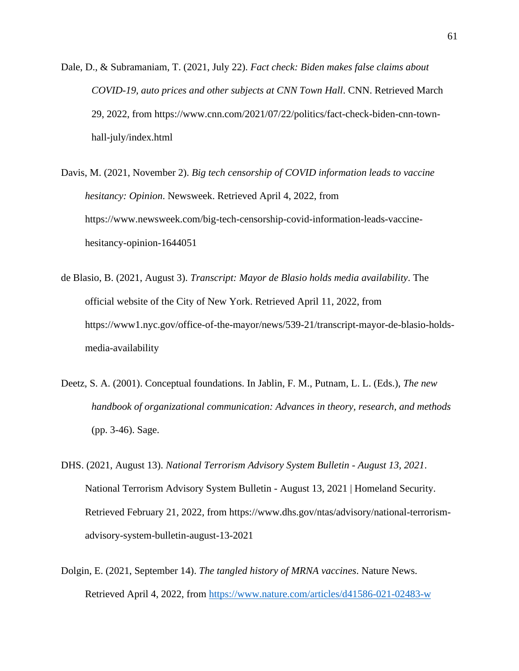- Dale, D., & Subramaniam, T. (2021, July 22). *Fact check: Biden makes false claims about COVID-19, auto prices and other subjects at CNN Town Hall*. CNN. Retrieved March 29, 2022, from https://www.cnn.com/2021/07/22/politics/fact-check-biden-cnn-townhall-july/index.html
- Davis, M. (2021, November 2). *Big tech censorship of COVID information leads to vaccine hesitancy: Opinion*. Newsweek. Retrieved April 4, 2022, from https://www.newsweek.com/big-tech-censorship-covid-information-leads-vaccinehesitancy-opinion-1644051
- de Blasio, B. (2021, August 3). *Transcript: Mayor de Blasio holds media availability*. The official website of the City of New York. Retrieved April 11, 2022, from https://www1.nyc.gov/office-of-the-mayor/news/539-21/transcript-mayor-de-blasio-holdsmedia-availability
- Deetz, S. A. (2001). Conceptual foundations. In Jablin, F. M., Putnam, L. L. (Eds.), *The new handbook of organizational communication: Advances in theory, research, and methods* (pp. 3-46). Sage.
- DHS. (2021, August 13). *National Terrorism Advisory System Bulletin - August 13, 2021*. National Terrorism Advisory System Bulletin - August 13, 2021 | Homeland Security. Retrieved February 21, 2022, from https://www.dhs.gov/ntas/advisory/national-terrorismadvisory-system-bulletin-august-13-2021
- Dolgin, E. (2021, September 14). *The tangled history of MRNA vaccines*. Nature News. Retrieved April 4, 2022, from<https://www.nature.com/articles/d41586-021-02483-w>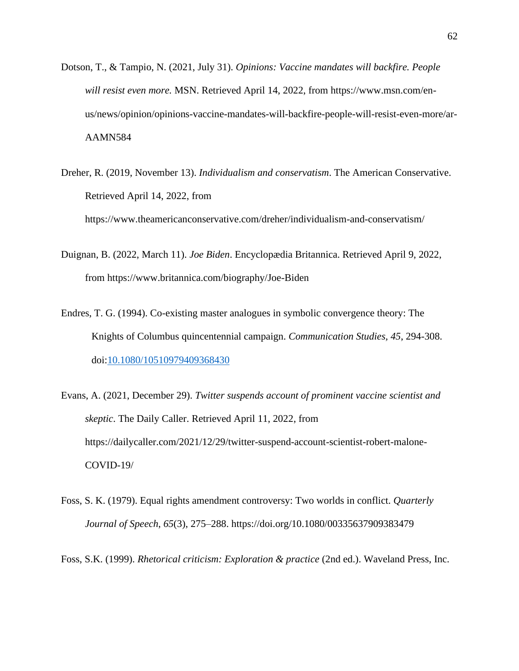- Dotson, T., & Tampio, N. (2021, July 31). *Opinions: Vaccine mandates will backfire. People will resist even more.* MSN. Retrieved April 14, 2022, from https://www.msn.com/enus/news/opinion/opinions-vaccine-mandates-will-backfire-people-will-resist-even-more/ar-AAMN584
- Dreher, R. (2019, November 13). *Individualism and conservatism*. The American Conservative. Retrieved April 14, 2022, from https://www.theamericanconservative.com/dreher/individualism-and-conservatism/
- Duignan, B. (2022, March 11). *Joe Biden*. Encyclopædia Britannica. Retrieved April 9, 2022, from https://www.britannica.com/biography/Joe-Biden
- Endres, T. G. (1994). Co-existing master analogues in symbolic convergence theory: The Knights of Columbus quincentennial campaign. *Communication Studies, 45*, 294-308. doi[:10.1080/10510979409368430](https://doi-org.ezproxy.liberty.edu/10.1080/10510979409368430)
- Evans, A. (2021, December 29). *Twitter suspends account of prominent vaccine scientist and skeptic*. The Daily Caller. Retrieved April 11, 2022, from https://dailycaller.com/2021/12/29/twitter-suspend-account-scientist-robert-malone-COVID-19/
- Foss, S. K. (1979). Equal rights amendment controversy: Two worlds in conflict. *Quarterly Journal of Speech*, *65*(3), 275–288. https://doi.org/10.1080/00335637909383479

Foss, S.K. (1999). *Rhetorical criticism: Exploration & practice* (2nd ed.). Waveland Press, Inc.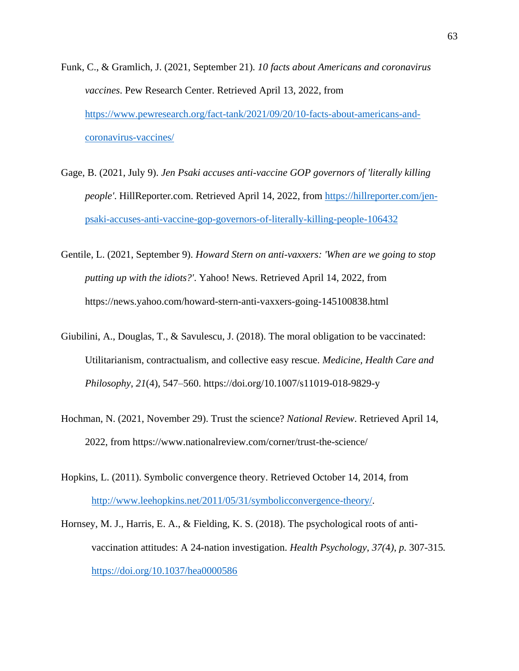- Funk, C., & Gramlich, J. (2021, September 21). *10 facts about Americans and coronavirus vaccines*. Pew Research Center. Retrieved April 13, 2022, from [https://www.pewresearch.org/fact-tank/2021/09/20/10-facts-about-americans-and](https://www.pewresearch.org/fact-tank/2021/09/20/10-facts-about-americans-and-coronavirus-vaccines/)[coronavirus-vaccines/](https://www.pewresearch.org/fact-tank/2021/09/20/10-facts-about-americans-and-coronavirus-vaccines/)
- Gage, B. (2021, July 9). *Jen Psaki accuses anti-vaccine GOP governors of 'literally killing people'*. HillReporter.com. Retrieved April 14, 2022, from [https://hillreporter.com/jen](https://hillreporter.com/jen-psaki-accuses-anti-vaccine-gop-governors-of-literally-killing-people-106432)[psaki-accuses-anti-vaccine-gop-governors-of-literally-killing-people-106432](https://hillreporter.com/jen-psaki-accuses-anti-vaccine-gop-governors-of-literally-killing-people-106432)
- Gentile, L. (2021, September 9). *Howard Stern on anti-vaxxers: 'When are we going to stop putting up with the idiots?'*. Yahoo! News. Retrieved April 14, 2022, from https://news.yahoo.com/howard-stern-anti-vaxxers-going-145100838.html
- Giubilini, A., Douglas, T., & Savulescu, J. (2018). The moral obligation to be vaccinated: Utilitarianism, contractualism, and collective easy rescue. *Medicine, Health Care and Philosophy*, *21*(4), 547–560. https://doi.org/10.1007/s11019-018-9829-y
- Hochman, N. (2021, November 29). Trust the science? *National Review*. Retrieved April 14, 2022, from https://www.nationalreview.com/corner/trust-the-science/
- Hopkins, L. (2011). Symbolic convergence theory. Retrieved October 14, 2014, from [http://www.leehopkins.net/2011/05/31/symbolicconvergence-theory/.](http://www.leehopkins.net/2011/05/31/symbolicconvergence-theory/)
- Hornsey, M. J., Harris, E. A., & Fielding, K. S. (2018). The psychological roots of antivaccination attitudes: A 24-nation investigation. *Health Psychology, 37(*4*)*, *p.* 307-315*.* <https://doi.org/10.1037/hea0000586>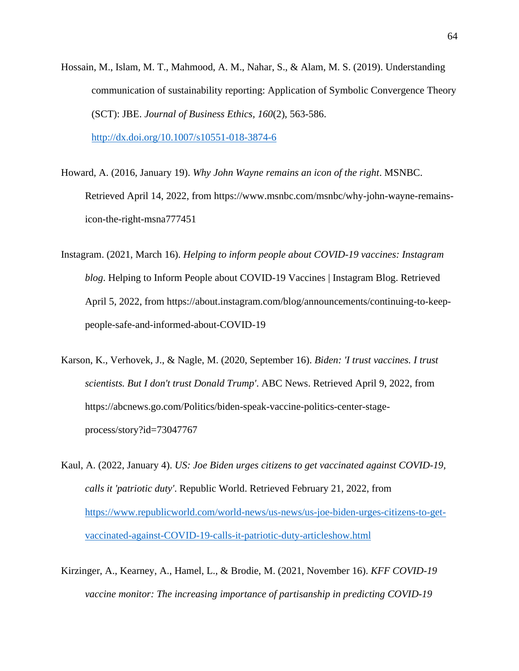- Hossain, M., Islam, M. T., Mahmood, A. M., Nahar, S., & Alam, M. S. (2019). Understanding communication of sustainability reporting: Application of Symbolic Convergence Theory (SCT): JBE. *Journal of Business Ethics, 160*(2), 563-586. <http://dx.doi.org/10.1007/s10551-018-3874-6>
- Howard, A. (2016, January 19). *Why John Wayne remains an icon of the right*. MSNBC. Retrieved April 14, 2022, from https://www.msnbc.com/msnbc/why-john-wayne-remainsicon-the-right-msna777451
- Instagram. (2021, March 16). *Helping to inform people about COVID-19 vaccines: Instagram blog*. Helping to Inform People about COVID-19 Vaccines | Instagram Blog. Retrieved April 5, 2022, from https://about.instagram.com/blog/announcements/continuing-to-keeppeople-safe-and-informed-about-COVID-19
- Karson, K., Verhovek, J., & Nagle, M. (2020, September 16). *Biden: 'I trust vaccines. I trust scientists. But I don't trust Donald Trump'*. ABC News. Retrieved April 9, 2022, from https://abcnews.go.com/Politics/biden-speak-vaccine-politics-center-stageprocess/story?id=73047767
- Kaul, A. (2022, January 4). *US: Joe Biden urges citizens to get vaccinated against COVID-19, calls it 'patriotic duty'*. Republic World. Retrieved February 21, 2022, from [https://www.republicworld.com/world-news/us-news/us-joe-biden-urges-citizens-to-get](https://www.republicworld.com/world-news/us-news/us-joe-biden-urges-citizens-to-get-vaccinated-against-covid-19-calls-it-patriotic-duty-articleshow.html)[vaccinated-against-COVID-19-calls-it-patriotic-duty-articleshow.html](https://www.republicworld.com/world-news/us-news/us-joe-biden-urges-citizens-to-get-vaccinated-against-covid-19-calls-it-patriotic-duty-articleshow.html)
- Kirzinger, A., Kearney, A., Hamel, L., & Brodie, M. (2021, November 16). *KFF COVID-19 vaccine monitor: The increasing importance of partisanship in predicting COVID-19*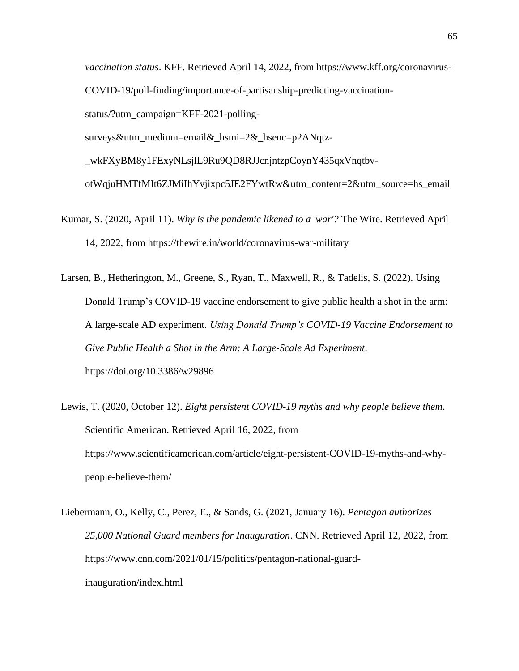*vaccination status*. KFF. Retrieved April 14, 2022, from https://www.kff.org/coronavirus-COVID-19/poll-finding/importance-of-partisanship-predicting-vaccinationstatus/?utm\_campaign=KFF-2021-pollingsurveys&utm\_medium=email&\_hsmi=2&\_hsenc=p2ANqtz- \_wkFXyBM8y1FExyNLsjlL9Ru9QD8RJJcnjntzpCoynY435qxVnqtbvotWqjuHMTfMIt6ZJMiIhYvjixpc5JE2FYwtRw&utm\_content=2&utm\_source=hs\_email

Kumar, S. (2020, April 11). *Why is the pandemic likened to a 'war'?* The Wire. Retrieved April 14, 2022, from https://thewire.in/world/coronavirus-war-military

- Larsen, B., Hetherington, M., Greene, S., Ryan, T., Maxwell, R., & Tadelis, S. (2022). Using Donald Trump's COVID-19 vaccine endorsement to give public health a shot in the arm: A large-scale AD experiment. *Using Donald Trump's COVID-19 Vaccine Endorsement to Give Public Health a Shot in the Arm: A Large-Scale Ad Experiment*. https://doi.org/10.3386/w29896
- Lewis, T. (2020, October 12). *Eight persistent COVID-19 myths and why people believe them*. Scientific American. Retrieved April 16, 2022, from https://www.scientificamerican.com/article/eight-persistent-COVID-19-myths-and-whypeople-believe-them/

Liebermann, O., Kelly, C., Perez, E., & Sands, G. (2021, January 16). *Pentagon authorizes 25,000 National Guard members for Inauguration*. CNN. Retrieved April 12, 2022, from https://www.cnn.com/2021/01/15/politics/pentagon-national-guardinauguration/index.html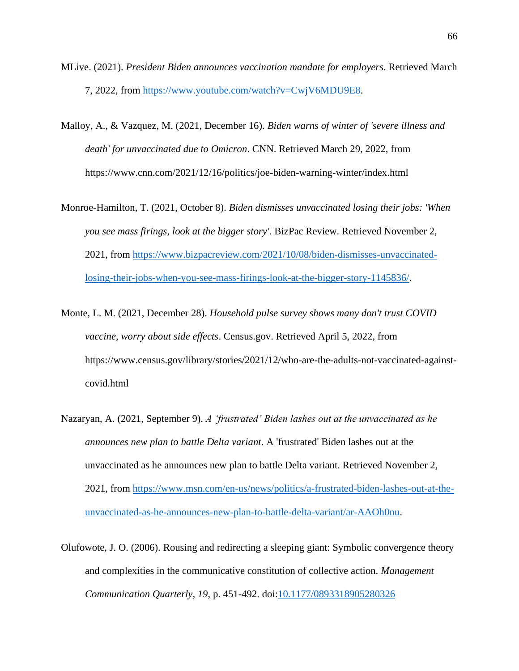- MLive. (2021). *President Biden announces vaccination mandate for employers*. Retrieved March 7, 2022, from [https://www.youtube.com/watch?v=CwjV6MDU9E8.](https://www.youtube.com/watch?v=CwjV6MDU9E8)
- Malloy, A., & Vazquez, M. (2021, December 16). *Biden warns of winter of 'severe illness and death' for unvaccinated due to Omicron*. CNN. Retrieved March 29, 2022, from https://www.cnn.com/2021/12/16/politics/joe-biden-warning-winter/index.html
- Monroe-Hamilton, T. (2021, October 8). *Biden dismisses unvaccinated losing their jobs: 'When you see mass firings, look at the bigger story'*. BizPac Review. Retrieved November 2, 2021, from [https://www.bizpacreview.com/2021/10/08/biden-dismisses-unvaccinated](https://www.bizpacreview.com/2021/10/08/biden-dismisses-unvaccinated-losing-their-jobs-when-you-see-mass-firings-look-at-the-bigger-story-1145836/)[losing-their-jobs-when-you-see-mass-firings-look-at-the-bigger-story-1145836/.](https://www.bizpacreview.com/2021/10/08/biden-dismisses-unvaccinated-losing-their-jobs-when-you-see-mass-firings-look-at-the-bigger-story-1145836/)
- Monte, L. M. (2021, December 28). *Household pulse survey shows many don't trust COVID vaccine, worry about side effects*. Census.gov. Retrieved April 5, 2022, from https://www.census.gov/library/stories/2021/12/who-are-the-adults-not-vaccinated-againstcovid.html
- Nazaryan, A. (2021, September 9). *A 'frustrated' Biden lashes out at the unvaccinated as he announces new plan to battle Delta variant*. A 'frustrated' Biden lashes out at the unvaccinated as he announces new plan to battle Delta variant. Retrieved November 2, 2021, from [https://www.msn.com/en-us/news/politics/a-frustrated-biden-lashes-out-at-the](https://www.msn.com/en-us/news/politics/a-frustrated-biden-lashes-out-at-the-unvaccinated-as-he-announces-new-plan-to-battle-delta-variant/ar-AAOh0nu)[unvaccinated-as-he-announces-new-plan-to-battle-delta-variant/ar-AAOh0nu.](https://www.msn.com/en-us/news/politics/a-frustrated-biden-lashes-out-at-the-unvaccinated-as-he-announces-new-plan-to-battle-delta-variant/ar-AAOh0nu)
- Olufowote, J. O. (2006). Rousing and redirecting a sleeping giant: Symbolic convergence theory and complexities in the communicative constitution of collective action. *Management Communication Quarterly, 19*, p. 451-492. doi[:10.1177/0893318905280326](https://doi-org.ezproxy.liberty.edu/10.1177/0893318905280326)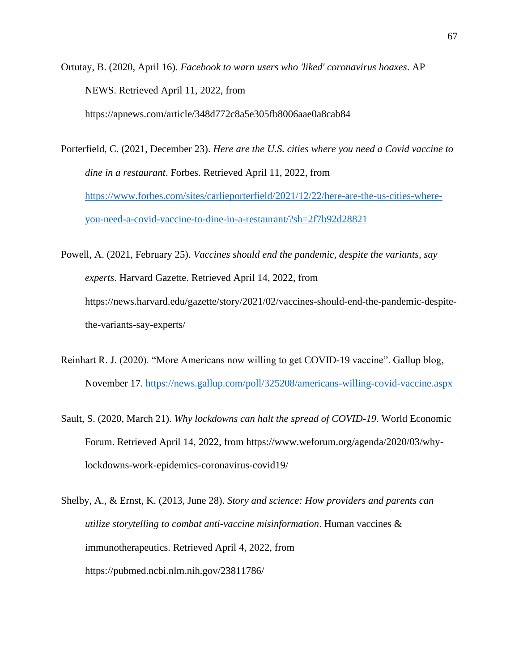Ortutay, B. (2020, April 16). *Facebook to warn users who 'liked' coronavirus hoaxes*. AP NEWS. Retrieved April 11, 2022, from https://apnews.com/article/348d772c8a5e305fb8006aae0a8cab84

Porterfield, C. (2021, December 23). *Here are the U.S. cities where you need a Covid vaccine to dine in a restaurant*. Forbes. Retrieved April 11, 2022, from [https://www.forbes.com/sites/carlieporterfield/2021/12/22/here-are-the-us-cities-where](https://www.forbes.com/sites/carlieporterfield/2021/12/22/here-are-the-us-cities-where-you-need-a-covid-vaccine-to-dine-in-a-restaurant/?sh=2f7b92d28821)[you-need-a-covid-vaccine-to-dine-in-a-restaurant/?sh=2f7b92d28821](https://www.forbes.com/sites/carlieporterfield/2021/12/22/here-are-the-us-cities-where-you-need-a-covid-vaccine-to-dine-in-a-restaurant/?sh=2f7b92d28821)

Powell, A. (2021, February 25). *Vaccines should end the pandemic, despite the variants, say experts*. Harvard Gazette. Retrieved April 14, 2022, from https://news.harvard.edu/gazette/story/2021/02/vaccines-should-end-the-pandemic-despitethe-variants-say-experts/

- Reinhart R. J. (2020). "More Americans now willing to get COVID-19 vaccine". Gallup blog, November 17.<https://news.gallup.com/poll/325208/americans-willing-covid-vaccine.aspx>
- Sault, S. (2020, March 21). *Why lockdowns can halt the spread of COVID-19*. World Economic Forum. Retrieved April 14, 2022, from https://www.weforum.org/agenda/2020/03/whylockdowns-work-epidemics-coronavirus-covid19/

Shelby, A., & Ernst, K. (2013, June 28). *Story and science: How providers and parents can utilize storytelling to combat anti-vaccine misinformation*. Human vaccines & immunotherapeutics. Retrieved April 4, 2022, from https://pubmed.ncbi.nlm.nih.gov/23811786/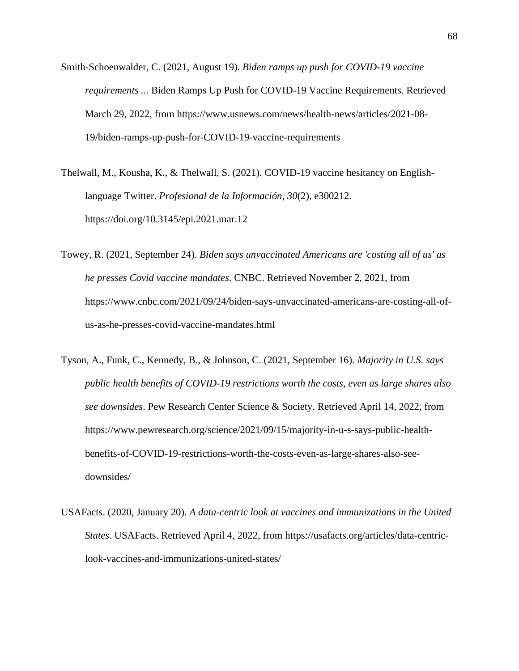Smith-Schoenwalder, C. (2021, August 19). *Biden ramps up push for COVID-19 vaccine requirements ...* Biden Ramps Up Push for COVID-19 Vaccine Requirements. Retrieved March 29, 2022, from https://www.usnews.com/news/health-news/articles/2021-08- 19/biden-ramps-up-push-for-COVID-19-vaccine-requirements

Thelwall, M., Kousha, K., & Thelwall, S. (2021). COVID-19 vaccine hesitancy on Englishlanguage Twitter. *Profesional de la Información, 30*(2), e300212. https://doi.org/10.3145/epi.2021.mar.12

- Towey, R. (2021, September 24). *Biden says unvaccinated Americans are 'costing all of us' as he presses Covid vaccine mandates*. CNBC. Retrieved November 2, 2021, from https://www.cnbc.com/2021/09/24/biden-says-unvaccinated-americans-are-costing-all-ofus-as-he-presses-covid-vaccine-mandates.html
- Tyson, A., Funk, C., Kennedy, B., & Johnson, C. (2021, September 16). *Majority in U.S. says public health benefits of COVID-19 restrictions worth the costs, even as large shares also see downsides*. Pew Research Center Science & Society. Retrieved April 14, 2022, from https://www.pewresearch.org/science/2021/09/15/majority-in-u-s-says-public-healthbenefits-of-COVID-19-restrictions-worth-the-costs-even-as-large-shares-also-seedownsides/
- USAFacts. (2020, January 20). *A data-centric look at vaccines and immunizations in the United States*. USAFacts. Retrieved April 4, 2022, from https://usafacts.org/articles/data-centriclook-vaccines-and-immunizations-united-states/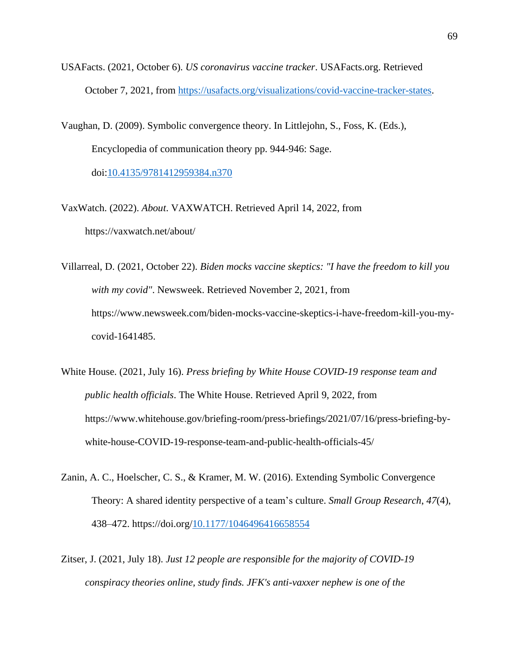- USAFacts. (2021, October 6). *US coronavirus vaccine tracker*. USAFacts.org. Retrieved October 7, 2021, from [https://usafacts.org/visualizations/covid-vaccine-tracker-states.](https://usafacts.org/visualizations/covid-vaccine-tracker-states)
- Vaughan, D. (2009). Symbolic convergence theory. In Littlejohn, S., Foss, K. (Eds.), Encyclopedia of communication theory pp. 944-946: Sage. doi[:10.4135/9781412959384.n370](https://doi-org.ezproxy.liberty.edu/10.4135/9781412959384.n370)
- VaxWatch. (2022). *About*. VAXWATCH. Retrieved April 14, 2022, from https://vaxwatch.net/about/
- Villarreal, D. (2021, October 22). *Biden mocks vaccine skeptics: "I have the freedom to kill you with my covid"*. Newsweek. Retrieved November 2, 2021, from https://www.newsweek.com/biden-mocks-vaccine-skeptics-i-have-freedom-kill-you-mycovid-1641485.
- White House. (2021, July 16). *Press briefing by White House COVID-19 response team and public health officials*. The White House. Retrieved April 9, 2022, from https://www.whitehouse.gov/briefing-room/press-briefings/2021/07/16/press-briefing-bywhite-house-COVID-19-response-team-and-public-health-officials-45/
- Zanin, A. C., Hoelscher, C. S., & Kramer, M. W. (2016). Extending Symbolic Convergence Theory: A shared identity perspective of a team's culture. *Small Group Research*, *47*(4), 438–472. https://doi.org[/10.1177/1046496416658554](https://doi-org.ezproxy.liberty.edu/10.1177/1046496416658554)
- Zitser, J. (2021, July 18). *Just 12 people are responsible for the majority of COVID-19 conspiracy theories online, study finds. JFK's anti-vaxxer nephew is one of the*